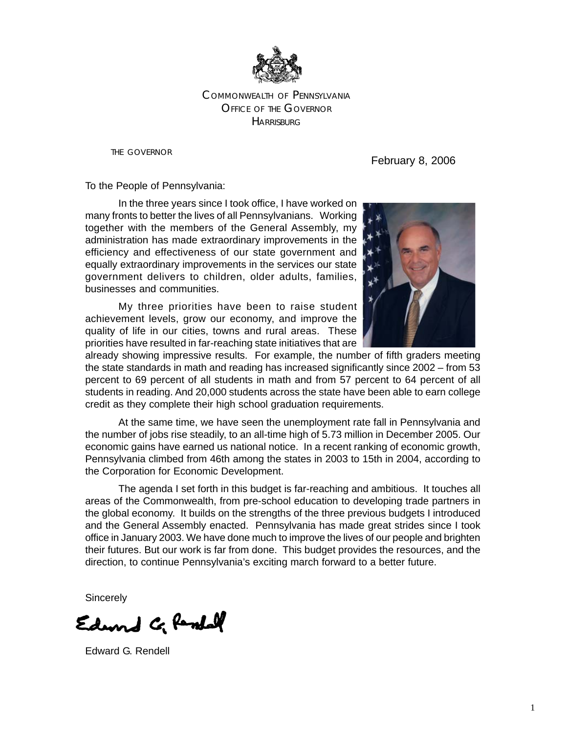

### OFFICE OF THE GOVERNOR COMMONWEALTH OF PENNSYLVANIA **HARRISBURG**

THE GOVERNOR

February 8, 2006

To the People of Pennsylvania:

In the three years since I took office, I have worked on many fronts to better the lives of all Pennsylvanians. Working together with the members of the General Assembly, my administration has made extraordinary improvements in the efficiency and effectiveness of our state government and equally extraordinary improvements in the services our state government delivers to children, older adults, families, businesses and communities.

My three priorities have been to raise student achievement levels, grow our economy, and improve the quality of life in our cities, towns and rural areas. These priorities have resulted in far-reaching state initiatives that are



already showing impressive results. For example, the number of fifth graders meeting the state standards in math and reading has increased significantly since 2002 – from 53 percent to 69 percent of all students in math and from 57 percent to 64 percent of all students in reading. And 20,000 students across the state have been able to earn college credit as they complete their high school graduation requirements.

At the same time, we have seen the unemployment rate fall in Pennsylvania and the number of jobs rise steadily, to an all-time high of 5.73 million in December 2005. Our economic gains have earned us national notice. In a recent ranking of economic growth, Pennsylvania climbed from 46th among the states in 2003 to 15th in 2004, according to the Corporation for Economic Development.

The agenda I set forth in this budget is far-reaching and ambitious. It touches all areas of the Commonwealth, from pre-school education to developing trade partners in the global economy. It builds on the strengths of the three previous budgets I introduced and the General Assembly enacted. Pennsylvania has made great strides since I took office in January 2003. We have done much to improve the lives of our people and brighten their futures. But our work is far from done. This budget provides the resources, and the direction, to continue Pennsylvania's exciting march forward to a better future.

**Sincerely** 

Edward C. Randall

Edward G. Rendell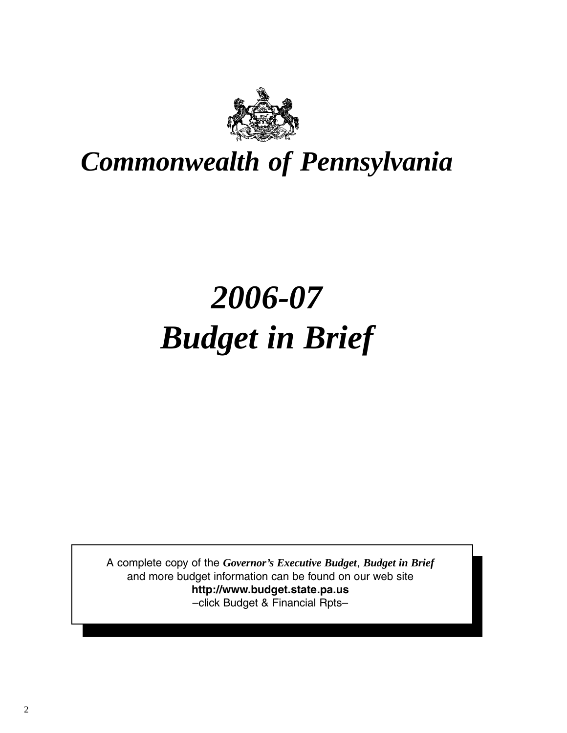

# *Commonwealth of Pennsylvania*

# *2006-07 Budget in Brief*

A complete copy of the *Governor's Executive Budget*, *Budget in Brief*  and more budget information can be found on our web site **http://www.budget.state.pa.us**  –click Budget & Financial Rpts–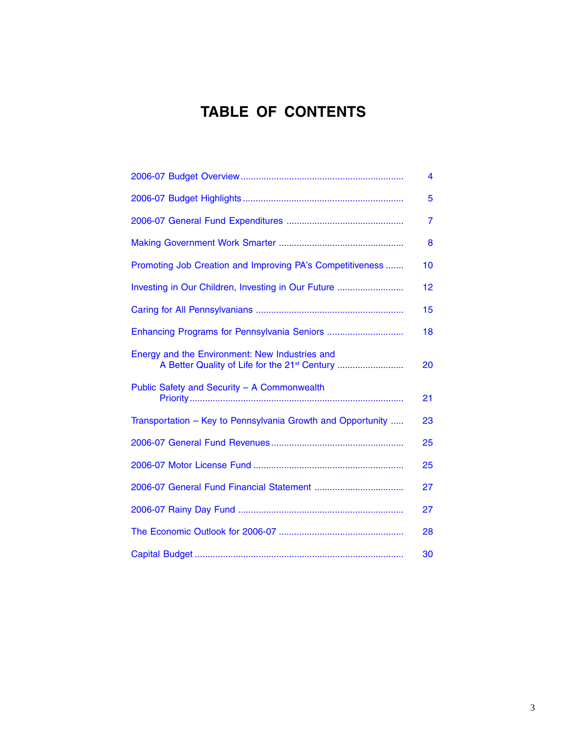## **TABLE OF CONTENTS**

|                                                                                                             | 4              |
|-------------------------------------------------------------------------------------------------------------|----------------|
|                                                                                                             | 5              |
|                                                                                                             | $\overline{7}$ |
|                                                                                                             | 8              |
| Promoting Job Creation and Improving PA's Competitiveness                                                   | 10             |
| Investing in Our Children, Investing in Our Future                                                          | 12             |
|                                                                                                             | 15             |
|                                                                                                             | 18             |
| Energy and the Environment: New Industries and<br>A Better Quality of Life for the 21 <sup>st</sup> Century | 20             |
| Public Safety and Security - A Commonwealth                                                                 | 21             |
| Transportation - Key to Pennsylvania Growth and Opportunity                                                 | 23             |
|                                                                                                             | 25             |
|                                                                                                             | 25             |
|                                                                                                             | 27             |
|                                                                                                             | 27             |
|                                                                                                             | 28             |
|                                                                                                             | 30             |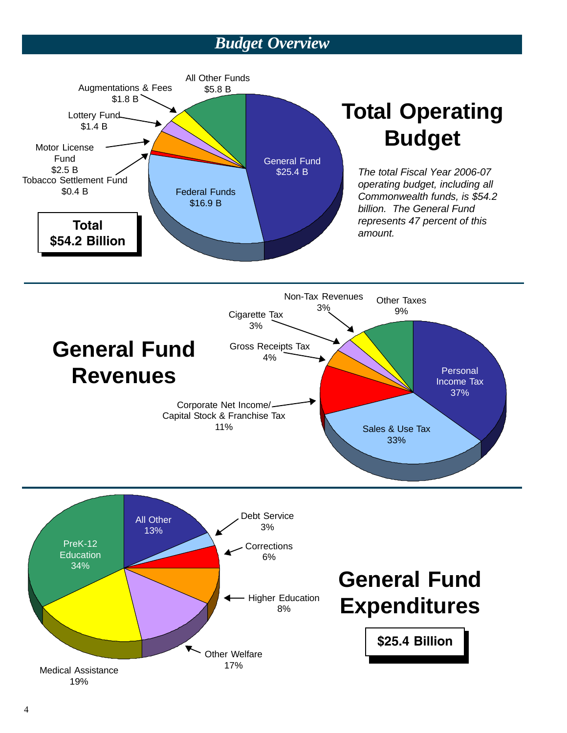## *Budget Overview*

<span id="page-3-0"></span>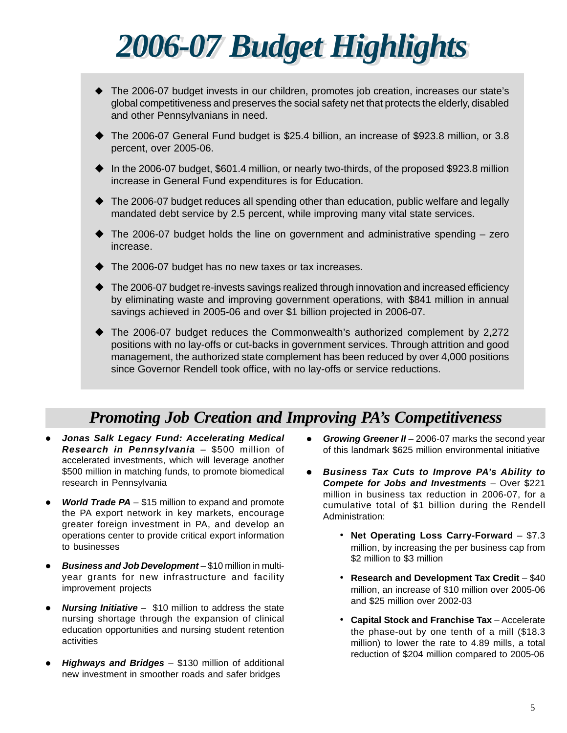<span id="page-4-0"></span>

- The 2006-07 budget invests in our children, promotes job creation, increases our state's global competitiveness and preserves the social safety net that protects the elderly, disabled and other Pennsylvanians in need.
- The 2006-07 General Fund budget is \$25.4 billion, an increase of \$923.8 million, or 3.8 percent, over 2005-06.
- In the 2006-07 budget, \$601.4 million, or nearly two-thirds, of the proposed \$923.8 million increase in General Fund expenditures is for Education.
- The 2006-07 budget reduces all spending other than education, public welfare and legally mandated debt service by 2.5 percent, while improving many vital state services.
- $\blacklozenge$  The 2006-07 budget holds the line on government and administrative spending  $-$  zero increase.
- The 2006-07 budget has no new taxes or tax increases.
- The 2006-07 budget re-invests savings realized through innovation and increased efficiency by eliminating waste and improving government operations, with \$841 million in annual savings achieved in 2005-06 and over \$1 billion projected in 2006-07.
- The 2006-07 budget reduces the Commonwealth's authorized complement by 2,272 positions with no lay-offs or cut-backs in government services. Through attrition and good management, the authorized state complement has been reduced by over 4,000 positions since Governor Rendell took office, with no lay-offs or service reductions.

## *Promoting Job Creation and Improving PA's Competitiveness*

- Jonas Salk Legacy Fund: Accelerating Medical *Research in Pennsylvania* – \$500 million of accelerated investments, which will leverage another \$500 million in matching funds, to promote biomedical research in Pennsylvania
- *World Trade PA* \$15 million to expand and promote the PA export network in key markets, encourage greater foreign investment in PA, and develop an operations center to provide critical export information to businesses
- **Business and Job Development** \$10 million in multiyear grants for new infrastructure and facility improvement projects
- **Nursing Initiative** \$10 million to address the state nursing shortage through the expansion of clinical education opportunities and nursing student retention activities
- *Highways and Bridges* \$130 million of additional new investment in smoother roads and safer bridges
- *Growing Greener II 2006-07 marks the second year* of this landmark \$625 million environmental initiative
- z *Business Tax Cuts to Improve PA's Ability to Compete for Jobs and Investments* – Over \$221 million in business tax reduction in 2006-07, for a cumulative total of \$1 billion during the Rendell Administration:
	- • **Net Operating Loss Carry-Forward** \$7.3 million, by increasing the per business cap from \$2 million to \$3 million
	- • **Research and Development Tax Credit** \$40 million, an increase of \$10 million over 2005-06 and \$25 million over 2002-03
	- • **Capital Stock and Franchise Tax** Accelerate the phase-out by one tenth of a mill (\$18.3 million) to lower the rate to 4.89 mills, a total reduction of \$204 million compared to 2005-06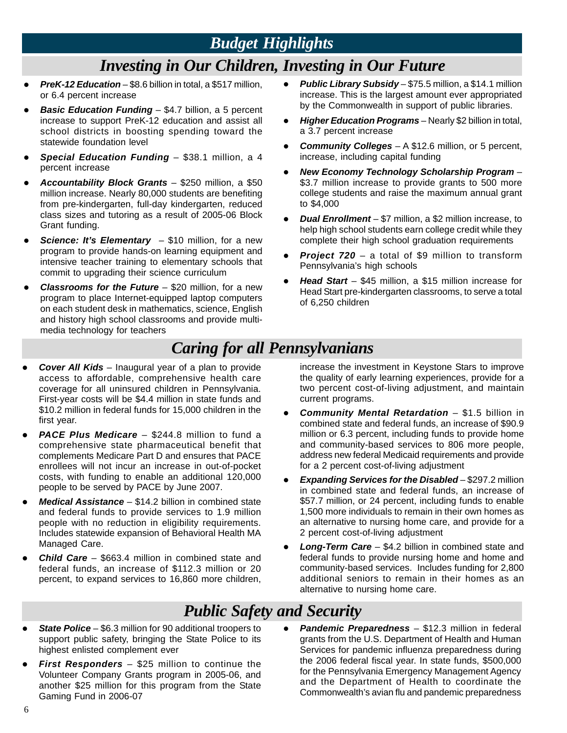## *Budget Highlights*

## *Investing in Our Children, Investing in Our Future*

- **PreK-12 Education** \$8.6 billion in total, a \$517 million, or 6.4 percent increase
- **Basic Education Funding** \$4.7 billion, a 5 percent increase to support PreK-12 education and assist all school districts in boosting spending toward the statewide foundation level
- **Special Education Funding** \$38.1 million, a 4 percent increase
- z *Accountability Block Grants* \$250 million, a \$50 million increase. Nearly 80,000 students are benefiting from pre-kindergarten, full-day kindergarten, reduced class sizes and tutoring as a result of 2005-06 Block Grant funding.
- **Science: It's Elementary** \$10 million, for a new program to provide hands-on learning equipment and intensive teacher training to elementary schools that commit to upgrading their science curriculum
- **Classrooms for the Future** \$20 million, for a new program to place Internet-equipped laptop computers on each student desk in mathematics, science, English and history high school classrooms and provide multimedia technology for teachers
- **Public Library Subsidy** \$75.5 million, a \$14.1 million increase. This is the largest amount ever appropriated by the Commonwealth in support of public libraries.
- **Higher Education Programs** Nearly \$2 billion in total, a 3.7 percent increase
- **Community Colleges** A \$12.6 million, or 5 percent, increase, including capital funding
- z *New Economy Technology Scholarship Program* \$3.7 million increase to provide grants to 500 more college students and raise the maximum annual grant to \$4,000
- **•** *Dual Enrollment* \$7 million, a \$2 million increase, to help high school students earn college credit while they complete their high school graduation requirements
- **Project 720** a total of \$9 million to transform Pennsylvania's high schools
- Head Start \$45 million, a \$15 million increase for Head Start pre-kindergarten classrooms, to serve a total of 6,250 children

## *Caring for all Pennsylvanians*

- *Cover All Kids* Inaugural year of a plan to provide access to affordable, comprehensive health care coverage for all uninsured children in Pennsylvania. First-year costs will be \$4.4 million in state funds and \$10.2 million in federal funds for 15,000 children in the first year.
- **PACE Plus Medicare** \$244.8 million to fund a comprehensive state pharmaceutical benefit that complements Medicare Part D and ensures that PACE enrollees will not incur an increase in out-of-pocket costs, with funding to enable an additional 120,000 people to be served by PACE by June 2007.
- *Medical Assistance* \$14.2 billion in combined state and federal funds to provide services to 1.9 million people with no reduction in eligibility requirements. Includes statewide expansion of Behavioral Health MA Managed Care.
- **Child Care** \$663.4 million in combined state and federal funds, an increase of \$112.3 million or 20 percent, to expand services to 16,860 more children,

increase the investment in Keystone Stars to improve the quality of early learning experiences, provide for a two percent cost-of-living adjustment, and maintain current programs.

- **Community Mental Retardation** \$1.5 billion in combined state and federal funds, an increase of \$90.9 million or 6.3 percent, including funds to provide home and community-based services to 806 more people, address new federal Medicaid requirements and provide for a 2 percent cost-of-living adjustment
- *Expanding Services for the Disabled \$297.2 million* in combined state and federal funds, an increase of \$57.7 million, or 24 percent, including funds to enable 1,500 more individuals to remain in their own homes as an alternative to nursing home care, and provide for a 2 percent cost-of-living adjustment
- **Long-Term Care** \$4.2 billion in combined state and federal funds to provide nursing home and home and community-based services. Includes funding for 2,800 additional seniors to remain in their homes as an alternative to nursing home care.

## *Public Safety and Security*

- 
- First Responders \$25 million to continue the the 2006 federal fiscal year. In state funds, \$500,000<br>Volunteer Company Grants program in 2005-06, and for the Pennsylvania Emergency Management Agency<br>another \$25 million
- **State Police** \$6.3 million for 90 additional troopers to **e Pandemic Preparedness** \$12.3 million in federal support public safety, bringing the State Police to its grants from the U.S. Department of Health and Human highest enlisted complement ever Services for pandemic influenza preparedness during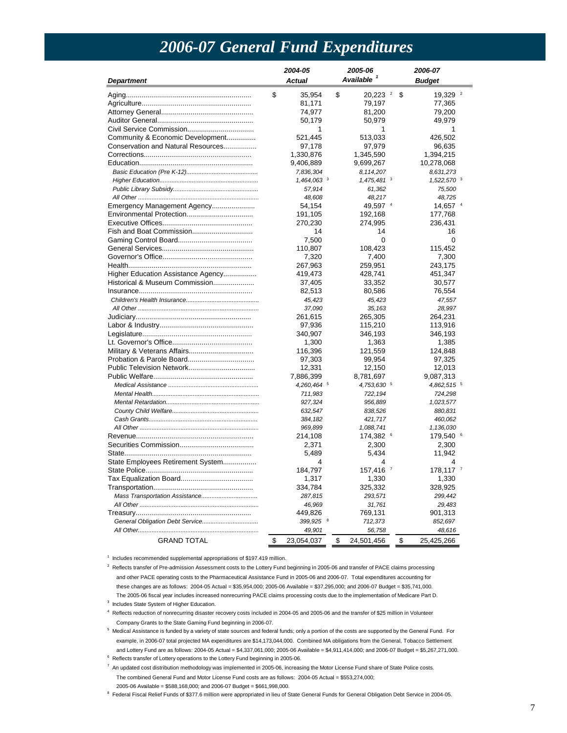## *2006-07 General Fund Expenditures*

<span id="page-6-0"></span>

|                                    | 2004-05 |               | 2005-06 |               | 2006-07                |
|------------------------------------|---------|---------------|---------|---------------|------------------------|
| <b>Department</b>                  |         | <b>Actual</b> |         | Available     | <b>Budget</b>          |
|                                    | \$      | 35,954        | \$      | $20,223$ $^2$ | \$<br>19,329 $2$       |
|                                    |         | 81,171        |         | 79,197        | 77,365                 |
|                                    |         | 74,977        |         | 81,200        | 79,200                 |
|                                    |         | 50,179        |         | 50,979        | 49,979                 |
|                                    |         | 1             |         | 1             | 1                      |
| Community & Economic Development   |         | 521,445       |         | 513,033       | 426,502                |
| Conservation and Natural Resources |         | 97,178        |         | 97,979        | 96,635                 |
|                                    |         | 1,330,876     |         | 1,345,590     | 1,394,215              |
|                                    |         | 9,406,889     |         | 9,699,267     | 10,278,068             |
|                                    |         | 7,836,304     |         | 8,114,207     | 8,631,273              |
|                                    |         | 1,464,063 3   |         | 1,475,481 3   | 1,522,570 $3$          |
|                                    |         | 57,914        |         | 61,362        | 75,500                 |
|                                    |         | 48,608        |         | 48,217        | 48,725                 |
| Emergency Management Agency        |         | 54,154        |         | 49,597 $4$    | 14.657 4               |
|                                    |         | 191,105       |         | 192,168       | 177,768                |
|                                    |         | 270,230       |         | 274,995       | 236,431                |
|                                    |         | 14            |         | 14            | 16                     |
|                                    |         | 7,500         |         | $\Omega$      | $\Omega$               |
|                                    |         | 110,807       |         | 108,423       | 115,452                |
|                                    |         | 7,320         |         | 7,400         | 7,300                  |
|                                    |         | 267,963       |         | 259,951       | 243,175                |
| Higher Education Assistance Agency |         | 419,473       |         | 428,741       | 451,347                |
| Historical & Museum Commission     |         | 37,405        |         | 33,352        | 30,577                 |
|                                    |         | 82,513        |         | 80,586        | 76,554                 |
|                                    |         | 45,423        |         | 45,423        | 47,557                 |
|                                    |         | 37,090        |         | 35,163        | 28,997                 |
|                                    |         | 261,615       |         | 265,305       | 264,231                |
|                                    |         | 97,936        |         | 115,210       | 113,916                |
|                                    |         | 340,907       |         | 346,193       | 346,193                |
|                                    |         | 1,300         |         | 1,363         | 1,385                  |
|                                    |         | 116,396       |         | 121,559       | 124,848                |
|                                    |         | 97,303        |         | 99,954        | 97,325                 |
|                                    |         | 12,331        |         | 12,150        | 12,013                 |
|                                    |         | 7,886,399     |         | 8,781,697     | 9,087,313              |
|                                    |         | 4,260,464 5   |         | 4,753,630 5   | 4,862,515 5            |
|                                    |         | 711,983       |         | 722, 194      | 724,298                |
|                                    |         | 927,324       |         | 956,889       | 1,023,577              |
|                                    |         | 632,547       |         | 838,526       | 880,831                |
|                                    |         | 384,182       |         | 421,717       | 460,062                |
|                                    |         | 969,899       |         | 1,088,741     | 1,136,030              |
|                                    |         | 214,108       |         | 174,382<br>6  | 179,540 <sup>6</sup>   |
|                                    |         | 2,371         |         | 2,300         | 2,300                  |
|                                    |         | 5,489         |         | 5,434         | 11,942                 |
|                                    |         | 4             |         | 4             | 4                      |
| State Employees Retirement System  |         |               |         |               |                        |
|                                    |         | 184,797       |         | 157,416 7     | $178,117$ <sup>7</sup> |
|                                    |         | 1,317         |         | 1,330         | 1,330                  |
|                                    |         | 334,784       |         | 325,332       | 328,925                |
|                                    |         | 287,815       |         | 293,571       | 299,442                |
|                                    |         | 46,969        |         | 31,761        | 29,483                 |
|                                    |         | 449,826       |         | 769,131       | 901,313                |
|                                    |         | 399,925 8     |         | 712,373       | 852,697                |
|                                    |         | 49,901        |         | 56,758        | 48,616                 |
| <b>GRAND TOTAL</b>                 | \$      | 23,054,037    | \$      | 24,501,456    | \$<br>25,425,266       |

<sup>1</sup> Includes recommended supplemental appropriations of \$197.419 million.

 $2$  Reflects transfer of Pre-admission Assessment costs to the Lottery Fund beginning in 2005-06 and transfer of PACE claims processing and other PACE operating costs to the Pharmaceutical Assistance Fund in 2005-06 and 2006-07. Total expenditures accounting for these changes are as follows: 2004-05 Actual = \$35,954,000; 2005-06 Available = \$37,295,000; and 2006-07 Budget = \$35,741,000. The 2005-06 fiscal year includes increased nonrecurring PACE claims processing costs due to the implementation of Medicare Part D.

<sup>3</sup> Includes State System of Higher Education.

 4 Reflects reduction of nonrecurring disaster recovery costs included in 2004-05 and 2005-06 and the transfer of \$25 million in Volunteer Company Grants to the State Gaming Fund beginning in 2006-07.

<sup>5</sup> Medical Assistance is funded by a variety of state sources and federal funds; only a portion of the costs are supported by the General Fund. For example, in 2006-07 total projected MA expenditures are \$14,173,044,000. Combined MA obligations from the General, Tobacco Settlement and Lottery Fund are as follows: 2004-05 Actual = \$4,337,061,000; 2005-06 Available = \$4,911,414,000; and 2006-07 Budget = \$5,267,271,000.

 $^6$  Reflects transfer of Lottery operations to the Lottery Fund beginning in 2005-06.

 $^7$  An updated cost distribution methodology was implemented in 2005-06, increasing the Motor License Fund share of State Police costs. The combined General Fund and Motor License Fund costs are as follows: 2004-05 Actual = \$553,274,000; 2005-06 Available = \$588,168,000; and 2006-07 Budget = \$661,998,000.

<sup>8</sup> Federal Fiscal Relief Funds of \$377.6 million were appropriated in lieu of State General Funds for General Obligation Debt Service in 2004-05.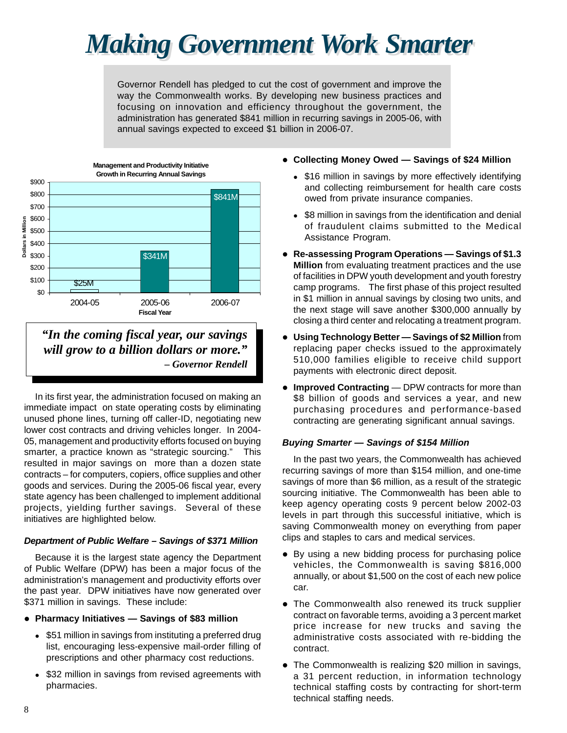# <span id="page-7-0"></span>*Making Government Work Smarter*

Governor Rendell has pledged to cut the cost of government and improve the way the Commonwealth works. By developing new business practices and focusing on innovation and efficiency throughout the government, the administration has generated \$841 million in recurring savings in 2005-06, with annual savings expected to exceed \$1 billion in 2006-07.



*"In the coming fiscal year, our savings will grow to a billion dollars or more." – Governor Rendell* 

In its first year, the administration focused on making an immediate impact on state operating costs by eliminating unused phone lines, turning off caller-ID, negotiating new lower cost contracts and driving vehicles longer. In 2004- 05, management and productivity efforts focused on buying smarter, a practice known as "strategic sourcing." This resulted in major savings on more than a dozen state contracts – for computers, copiers, office supplies and other goods and services. During the 2005-06 fiscal year, every state agency has been challenged to implement additional projects, yielding further savings. Several of these initiatives are highlighted below.

### *Department of Public Welfare – Savings of \$371 Million*

Because it is the largest state agency the Department of Public Welfare (DPW) has been a major focus of the administration's management and productivity efforts over the past year. DPW initiatives have now generated over \$371 million in savings. These include:

- **Pharmacy Initiatives Savings of \$83 million** 
	- \$51 million in savings from instituting a preferred drug list, encouraging less-expensive mail-order filling of prescriptions and other pharmacy cost reductions.
	- \$32 million in savings from revised agreements with pharmacies.
- **Collecting Money Owed Savings of \$24 Million** 
	- \$16 million in savings by more effectively identifying and collecting reimbursement for health care costs owed from private insurance companies.
	- \$8 million in savings from the identification and denial of fraudulent claims submitted to the Medical Assistance Program.
- **Re-assessing Program Operations Savings of \$1.3 Million** from evaluating treatment practices and the use of facilities in DPW youth development and youth forestry camp programs. The first phase of this project resulted in \$1 million in annual savings by closing two units, and the next stage will save another \$300,000 annually by closing a third center and relocating a treatment program.
- **Using Technology Better Savings of \$2 Million** from replacing paper checks issued to the approximately 510,000 families eligible to receive child support payments with electronic direct deposit.
- **Improved Contracting** DPW contracts for more than \$8 billion of goods and services a year, and new purchasing procedures and performance-based contracting are generating significant annual savings.

### *Buying Smarter — Savings of \$154 Million*

In the past two years, the Commonwealth has achieved recurring savings of more than \$154 million, and one-time savings of more than \$6 million, as a result of the strategic sourcing initiative. The Commonwealth has been able to keep agency operating costs 9 percent below 2002-03 levels in part through this successful initiative, which is saving Commonwealth money on everything from paper clips and staples to cars and medical services.

- By using a new bidding process for purchasing police vehicles, the Commonwealth is saving \$816,000 annually, or about \$1,500 on the cost of each new police car.
- The Commonwealth also renewed its truck supplier contract on favorable terms, avoiding a 3 percent market price increase for new trucks and saving the administrative costs associated with re-bidding the contract.
- The Commonwealth is realizing \$20 million in savings, a 31 percent reduction, in information technology technical staffing costs by contracting for short-term technical staffing needs.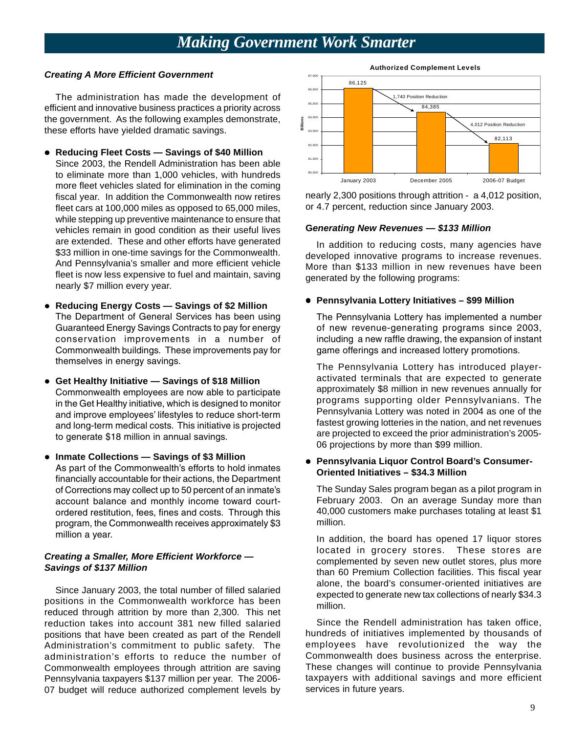## *Making Government Work Smarter*

### *Creating A More Efficient Government*

The administration has made the development of efficient and innovative business practices a priority across the government. As the following examples demonstrate, these efforts have yielded dramatic savings.

- **Reducing Fleet Costs Savings of \$40 Million**
- Since 2003, the Rendell Administration has been able to eliminate more than 1,000 vehicles, with hundreds more fleet vehicles slated for elimination in the coming fiscal year. In addition the Commonwealth now retires fleet cars at 100,000 miles as opposed to 65,000 miles, while stepping up preventive maintenance to ensure that vehicles remain in good condition as their useful lives are extended. These and other efforts have generated \$33 million in one-time savings for the Commonwealth. And Pennsylvania's smaller and more efficient vehicle fleet is now less expensive to fuel and maintain, saving nearly \$7 million every year.
- **Reducing Energy Costs Savings of \$2 Million** The Department of General Services has been using Guaranteed Energy Savings Contracts to pay for energy conservation improvements in a number of Commonwealth buildings. These improvements pay for themselves in energy savings.
- and long-term medical costs. This initiative is projected **• Get Healthy Initiative - Savings of \$18 Million** Commonwealth employees are now able to participate in the Get Healthy initiative, which is designed to monitor and improve employees' lifestyles to reduce short-term to generate \$18 million in annual savings.
- **Inmate Collections Savings of \$3 Million** As part of the Commonwealth's efforts to hold inmates financially accountable for their actions, the Department
	- of Corrections may collect up to 50 percent of an inmate's account balance and monthly income toward courtordered restitution, fees, fines and costs. Through this program, the Commonwealth receives approximately \$3 million a year.

### *Creating a Smaller, More Efficient Workforce — Savings of \$137 Million*

Since January 2003, the total number of filled salaried positions in the Commonwealth workforce has been reduced through attrition by more than 2,300. This net reduction takes into account 381 new filled salaried positions that have been created as part of the Rendell Administration's commitment to public safety. The administration's efforts to reduce the number of Commonwealth employees through attrition are saving Pennsylvania taxpayers \$137 million per year. The 2006- 07 budget will reduce authorized complement levels by



nearly 2,300 positions through attrition - a 4,012 position, or 4.7 percent, reduction since January 2003.

### **G***enerating New Revenues — \$133 Million*

In addition to reducing costs, many agencies have developed innovative programs to increase revenues. More than \$133 million in new revenues have been generated by the following programs:

### **• Pennsylvania Lottery Initiatives - \$99 Million**

The Pennsylvania Lottery has implemented a number of new revenue-generating programs since 2003, including a new raffle drawing, the expansion of instant game offerings and increased lottery promotions.

The Pennsylvania Lottery has introduced playeractivated terminals that are expected to generate approximately \$8 million in new revenues annually for programs supporting older Pennsylvanians. The Pennsylvania Lottery was noted in 2004 as one of the fastest growing lotteries in the nation, and net revenues are projected to exceed the prior administration's 2005- 06 projections by more than \$99 million.

### **• Pennsylvania Liquor Control Board's Consumer-Oriented Initiatives – \$34.3 Million**

The Sunday Sales program began as a pilot program in February 2003. On an average Sunday more than 40,000 customers make purchases totaling at least \$1 million.

In addition, the board has opened 17 liquor stores located in grocery stores. These stores are complemented by seven new outlet stores, plus more than 60 Premium Collection facilities. This fiscal year alone, the board's consumer-oriented initiatives are expected to generate new tax collections of nearly \$34.3 million.

Since the Rendell administration has taken office, hundreds of initiatives implemented by thousands of employees have revolutionized the way the Commonwealth does business across the enterprise. These changes will continue to provide Pennsylvania taxpayers with additional savings and more efficient services in future years.

9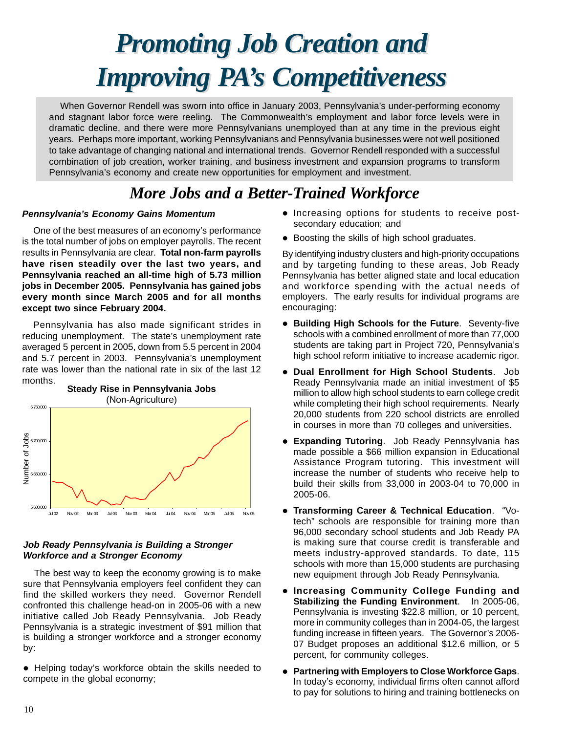# <span id="page-9-0"></span>*Promoting Job Creation and Promoting Job Creation and Improving PA's Competitiveness*

When Governor Rendell was sworn into office in January 2003, Pennsylvania's under-performing economy and stagnant labor force were reeling. The Commonwealth's employment and labor force levels were in dramatic decline, and there were more Pennsylvanians unemployed than at any time in the previous eight years. Perhaps more important, working Pennsylvanians and Pennsylvania businesses were not well positioned to take advantage of changing national and international trends. Governor Rendell responded with a successful combination of job creation, worker training, and business investment and expansion programs to transform Pennsylvania's economy and create new opportunities for employment and investment.

## *More Jobs and a Better-Trained Workforce*

### *Pennsylvania's Economy Gains Momentum*

One of the best measures of an economy's performance is the total number of jobs on employer payrolls. The recent results in Pennsylvania are clear. **Total non-farm payrolls have risen steadily over the last two years, and Pennsylvania reached an all-time high of 5.73 million jobs in December 2005. Pennsylvania has gained jobs every month since March 2005 and for all months except two since February 2004.** 

Pennsylvania has also made significant strides in reducing unemployment. The state's unemployment rate averaged 5 percent in 2005, down from 5.5 percent in 2004 and 5.7 percent in 2003. Pennsylvania's unemployment rate was lower than the national rate in six of the last 12 months.



### *Job Ready Pennsylvania is Building a Stronger Workforce and a Stronger Economy*

The best way to keep the economy growing is to make sure that Pennsylvania employers feel confident they can find the skilled workers they need. Governor Rendell confronted this challenge head-on in 2005-06 with a new initiative called Job Ready Pennsylvania. Job Ready Pennsylvania is a strategic investment of \$91 million that is building a stronger workforce and a stronger economy by:

• Helping today's workforce obtain the skills needed to

- $\bullet$  Increasing options for students to receive postsecondary education; and
- Boosting the skills of high school graduates.

By identifying industry clusters and high-priority occupations and by targeting funding to these areas, Job Ready Pennsylvania has better aligned state and local education and workforce spending with the actual needs of employers. The early results for individual programs are encouraging:

- **Building High Schools for the Future.** Seventy-five schools with a combined enrollment of more than 77,000 students are taking part in Project 720, Pennsylvania's high school reform initiative to increase academic rigor.
- **Dual Enrollment for High School Students**. Job Ready Pennsylvania made an initial investment of \$5 million to allow high school students to earn college credit while completing their high school requirements. Nearly 20,000 students from 220 school districts are enrolled in courses in more than 70 colleges and universities.
- **Expanding Tutoring**. Job Ready Pennsylvania has made possible a \$66 million expansion in Educational Assistance Program tutoring. This investment will increase the number of students who receive help to build their skills from 33,000 in 2003-04 to 70,000 in 2005-06.
- **Transforming Career & Technical Education. "Vo**tech" schools are responsible for training more than 96,000 secondary school students and Job Ready PA is making sure that course credit is transferable and meets industry-approved standards. To date, 115 schools with more than 15,000 students are purchasing new equipment through Job Ready Pennsylvania.
- **Increasing Community College Funding and Stabilizing the Funding Environment**. In 2005-06, Pennsylvania is investing \$22.8 million, or 10 percent, more in community colleges than in 2004-05, the largest funding increase in fifteen years. The Governor's 2006- 07 Budget proposes an additional \$12.6 million, or 5 percent, for community colleges.
- **Partnering with Employers to Close Workforce Gaps.** In today's economy, individual firms often cannot afford to pay for solutions to hiring and training bottlenecks on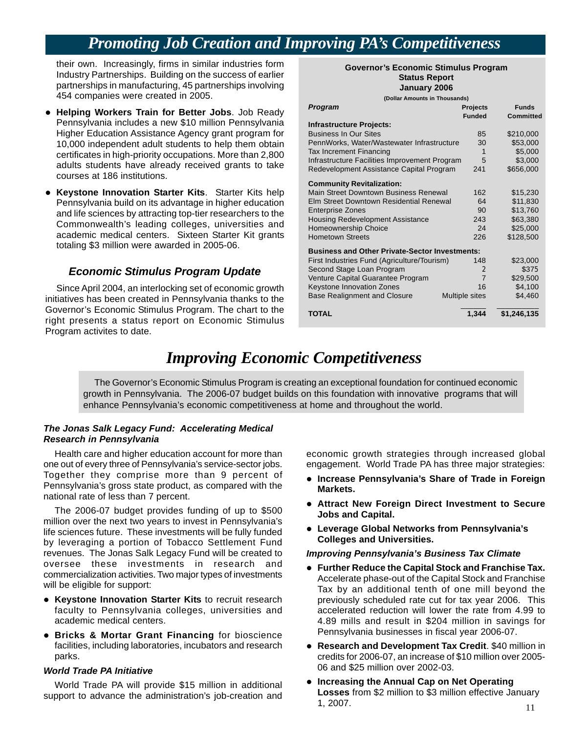## *Promoting Job Creation and Improving PA's Competitiveness*

their own. Increasingly, firms in similar industries form<br>Industry Partnerships. Building on the success of earlier<br>partnerships in manufacturing, 45 partnerships involving<br>January 2006 454 companies were created in 2005.

- **Helping Workers Train for Better Jobs.** Job Ready Pennsylvania includes a new \$10 million Pennsylvania Higher Education Assistance Agency grant program for 10,000 independent adult students to help them obtain certificates in high-priority occupations. More than 2,800 adults students have already received grants to take courses at 186 institutions.
- **Keystone Innovation Starter Kits.** Starter Kits help Pennsylvania build on its advantage in higher education and life sciences by attracting top-tier researchers to the Commonwealth's leading colleges, universities and academic medical centers. Sixteen Starter Kit grants totaling \$3 million were awarded in 2005-06.

### *Economic Stimulus Program Update*

Since April 2004, an interlocking set of economic growth initiatives has been created in Pennsylvania thanks to the Governor's Economic Stimulus Program. The chart to the right presents a status report on Economic Stimulus Program activites to date.

| (Dollar Amounts in Thousands)                                             |                |                  |
|---------------------------------------------------------------------------|----------------|------------------|
| Program                                                                   | Projects       | <b>Funds</b>     |
|                                                                           | <b>Funded</b>  | <b>Committed</b> |
| <b>Infrastructure Projects:</b>                                           |                |                  |
| <b>Business In Our Sites</b>                                              | 85             | \$210,000        |
| PennWorks, Water/Wastewater Infrastructure                                | 30             | \$53,000         |
| Tax Increment Financing                                                   | 1              | \$5,000          |
| Infrastructure Facilities Improvement Program                             | 5              | \$3,000          |
| Redevelopment Assistance Capital Program                                  | 241            | \$656,000        |
|                                                                           |                |                  |
| <b>Community Revitalization:</b><br>Main Street Downtown Business Renewal | 162            | \$15,230         |
| Elm Street Downtown Residential Renewal                                   | 64             | \$11,830         |
| <b>Enterprise Zones</b>                                                   | 90             | \$13,760         |
| <b>Housing Redevelopment Assistance</b>                                   | 243            | \$63,380         |
| Homeownership Choice                                                      | 24             | \$25,000         |
| <b>Hometown Streets</b>                                                   | 226            | \$128,500        |
|                                                                           |                |                  |
| <b>Business and Other Private-Sector Investments:</b>                     |                |                  |
| First Industries Fund (Agriculture/Tourism)                               | 148            | \$23,000         |
| Second Stage Loan Program                                                 | $\overline{2}$ | \$375            |
| Venture Capital Guarantee Program                                         | $\overline{7}$ | \$29,500         |
| Keystone Innovation Zones                                                 | 16             | \$4,100          |
| <b>Base Realignment and Closure</b>                                       | Multiple sites | \$4,460          |
| <b>TOTAL</b>                                                              | 1,344          | \$1,246,135      |
|                                                                           |                |                  |

## *Improving Economic Competitiveness*

The Governor's Economic Stimulus Program is creating an exceptional foundation for continued economic growth in Pennsylvania. The 2006-07 budget builds on this foundation with innovative programs that will enhance Pennsylvania's economic competitiveness at home and throughout the world.

### *The Jonas Salk Legacy Fund: Accelerating Medical Research in Pennsylvania*

Health care and higher education account for more than one out of every three of Pennsylvania's service-sector jobs. Together they comprise more than 9 percent of Pennsylvania's gross state product, as compared with the national rate of less than 7 percent.

The 2006-07 budget provides funding of up to \$500 million over the next two years to invest in Pennsylvania's life sciences future. These investments will be fully funded by leveraging a portion of Tobacco Settlement Fund revenues. The Jonas Salk Legacy Fund will be created to oversee these investments in research and commercialization activities. Two major types of investments will be eligible for support:

- **Keystone Innovation Starter Kits** to recruit research faculty to Pennsylvania colleges, universities and academic medical centers.
- **Bricks & Mortar Grant Financing** for bioscience facilities, including laboratories, incubators and research parks.

### *World Trade PA Initiative*

economic growth strategies through increased global engagement. World Trade PA has three major strategies:

- **Increase Pennsylvania's Share of Trade in Foreign Markets.**
- **Attract New Foreign Direct Investment to Secure Jobs and Capital.**
- **Leverage Global Networks from Pennsylvania's Colleges and Universities.**

### *Improving Pennsylvania's Business Tax Climate*

- **Further Reduce the Capital Stock and Franchise Tax.** Accelerate phase-out of the Capital Stock and Franchise Tax by an additional tenth of one mill beyond the previously scheduled rate cut for tax year 2006. This accelerated reduction will lower the rate from 4.99 to 4.89 mills and result in \$204 million in savings for Pennsylvania businesses in fiscal year 2006-07.
- **Research and Development Tax Credit**. \$40 million in credits for 2006-07, an increase of \$10 million over 2005- 06 and \$25 million over 2002-03.
- World Trade PA will provide \$15 million in additional **exting the Annual Cap on Net Operating**<br>nport to advance the administration's job-creation and **Losses** from \$2 million to \$3 million effective January **Losses** from \$2 million to \$3 million effective January support to advance the administration's job-creation and 1, 2007.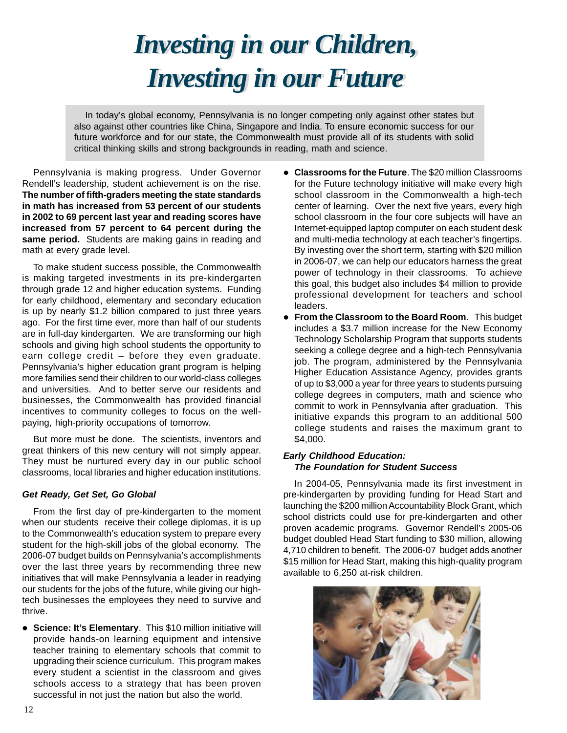# *Investing in our Children, Investing in our Children, Investing in our Future Investing in our Future*

<span id="page-11-0"></span>In today's global economy, Pennsylvania is no longer competing only against other states but also against other countries like China, Singapore and India. To ensure economic success for our future workforce and for our state, the Commonwealth must provide all of its students with solid critical thinking skills and strong backgrounds in reading, math and science.

Pennsylvania is making progress. Under Governor Rendell's leadership, student achievement is on the rise. **The number of fifth-graders meeting the state standards in math has increased from 53 percent of our students in 2002 to 69 percent last year and reading scores have increased from 57 percent to 64 percent during the**  same period. Students are making gains in reading and math at every grade level.

To make student success possible, the Commonwealth is making targeted investments in its pre-kindergarten through grade 12 and higher education systems. Funding for early childhood, elementary and secondary education is up by nearly \$1.2 billion compared to just three years ago. For the first time ever, more than half of our students are in full-day kindergarten. We are transforming our high schools and giving high school students the opportunity to earn college credit – before they even graduate. Pennsylvania's higher education grant program is helping more families send their children to our world-class colleges and universities. And to better serve our residents and businesses, the Commonwealth has provided financial incentives to community colleges to focus on the wellpaying, high-priority occupations of tomorrow.

But more must be done. The scientists, inventors and great thinkers of this new century will not simply appear. They must be nurtured every day in our public school classrooms, local libraries and higher education institutions.

### *Get Ready, Get Set, Go Global*

From the first day of pre-kindergarten to the moment when our students receive their college diplomas, it is up to the Commonwealth's education system to prepare every student for the high-skill jobs of the global economy. The 2006-07 budget builds on Pennsylvania's accomplishments over the last three years by recommending three new initiatives that will make Pennsylvania a leader in readying our students for the jobs of the future, while giving our hightech businesses the employees they need to survive and thrive.

**• Science: It's Elementary.** This \$10 million initiative will provide hands-on learning equipment and intensive teacher training to elementary schools that commit to upgrading their science curriculum. This program makes every student a scientist in the classroom and gives schools access to a strategy that has been proven successful in not just the nation but also the world.

- **Classrooms for the Future**. The \$20 million Classrooms for the Future technology initiative will make every high school classroom in the Commonwealth a high-tech center of learning. Over the next five years, every high school classroom in the four core subjects will have an Internet-equipped laptop computer on each student desk and multi-media technology at each teacher's fingertips. By investing over the short term, starting with \$20 million in 2006-07, we can help our educators harness the great power of technology in their classrooms. To achieve this goal, this budget also includes \$4 million to provide professional development for teachers and school leaders.
- **From the Classroom to the Board Room.** This budget includes a \$3.7 million increase for the New Economy Technology Scholarship Program that supports students seeking a college degree and a high-tech Pennsylvania job. The program, administered by the Pennsylvania Higher Education Assistance Agency, provides grants of up to \$3,000 a year for three years to students pursuing college degrees in computers, math and science who commit to work in Pennsylvania after graduation. This initiative expands this program to an additional 500 college students and raises the maximum grant to \$4,000.

### *Early Childhood Education: The Foundation for Student Success*

In 2004-05, Pennsylvania made its first investment in pre-kindergarten by providing funding for Head Start and launching the \$200 million Accountability Block Grant, which school districts could use for pre-kindergarten and other proven academic programs. Governor Rendell's 2005-06 budget doubled Head Start funding to \$30 million, allowing 4,710 children to benefit. The 2006-07 budget adds another \$15 million for Head Start, making this high-quality program available to 6,250 at-risk children.

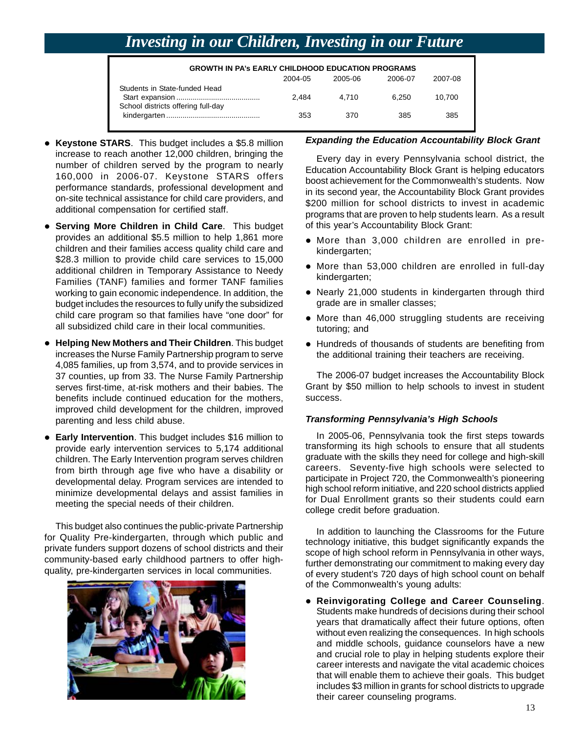## *Investing in our Children, Investing in our Future*

| <b>GROWTH IN PA's EARLY CHILDHOOD EDUCATION PROGRAMS</b>            |         |         |         |         |
|---------------------------------------------------------------------|---------|---------|---------|---------|
|                                                                     | 2004-05 | 2005-06 | 2006-07 | 2007-08 |
| Students in State-funded Head<br>School districts offering full-day | 2.484   | 4.710   | 6.250   | 10.700  |
|                                                                     | 353     | 370     | 385     | 385     |

- **Keystone STARS**. This budget includes a \$5.8 million increase to reach another 12,000 children, bringing the number of children served by the program to nearly 160,000 in 2006-07. Keystone STARS offers performance standards, professional development and on-site technical assistance for child care providers, and additional compensation for certified staff.
- **Serving More Children in Child Care.** This budget provides an additional \$5.5 million to help 1,861 more children and their families access quality child care and \$28.3 million to provide child care services to 15,000 additional children in Temporary Assistance to Needy Families (TANF) families and former TANF families working to gain economic independence. In addition, the budget includes the resources to fully unify the subsidized child care program so that families have "one door" for all subsidized child care in their local communities.
- **Helping New Mothers and Their Children**. This budget increases the Nurse Family Partnership program to serve 4,085 families, up from 3,574, and to provide services in 37 counties, up from 33. The Nurse Family Partnership serves first-time, at-risk mothers and their babies. The benefits include continued education for the mothers, improved child development for the children, improved parenting and less child abuse.
- **Early Intervention**. This budget includes \$16 million to provide early intervention services to 5,174 additional children. The Early Intervention program serves children from birth through age five who have a disability or developmental delay. Program services are intended to minimize developmental delays and assist families in meeting the special needs of their children.

This budget also continues the public-private Partnership for Quality Pre-kindergarten, through which public and private funders support dozens of school districts and their community-based early childhood partners to offer highquality, pre-kindergarten services in local communities.



### *Expanding the Education Accountability Block Grant*

Every day in every Pennsylvania school district, the Education Accountability Block Grant is helping educators boost achievement for the Commonwealth's students. Now in its second year, the Accountability Block Grant provides \$200 million for school districts to invest in academic programs that are proven to help students learn. As a result of this year's Accountability Block Grant:

- $\bullet$  More than 3,000 children are enrolled in prekindergarten;
- More than 53,000 children are enrolled in full-day kindergarten;
- Nearly 21,000 students in kindergarten through third grade are in smaller classes;
- More than 46,000 struggling students are receiving tutoring; and
- Hundreds of thousands of students are benefiting from the additional training their teachers are receiving.

The 2006-07 budget increases the Accountability Block Grant by \$50 million to help schools to invest in student success.

### *Transforming Pennsylvania's High Schools*

In 2005-06, Pennsylvania took the first steps towards transforming its high schools to ensure that all students graduate with the skills they need for college and high-skill careers. Seventy-five high schools were selected to participate in Project 720, the Commonwealth's pioneering high school reform initiative, and 220 school districts applied for Dual Enrollment grants so their students could earn college credit before graduation.

In addition to launching the Classrooms for the Future technology initiative, this budget significantly expands the scope of high school reform in Pennsylvania in other ways, further demonstrating our commitment to making every day of every student's 720 days of high school count on behalf of the Commonwealth's young adults:

**• Reinvigorating College and Career Counseling.** Students make hundreds of decisions during their school years that dramatically affect their future options, often without even realizing the consequences. In high schools and middle schools, guidance counselors have a new and crucial role to play in helping students explore their career interests and navigate the vital academic choices that will enable them to achieve their goals. This budget includes \$3 million in grants for school districts to upgrade their career counseling programs.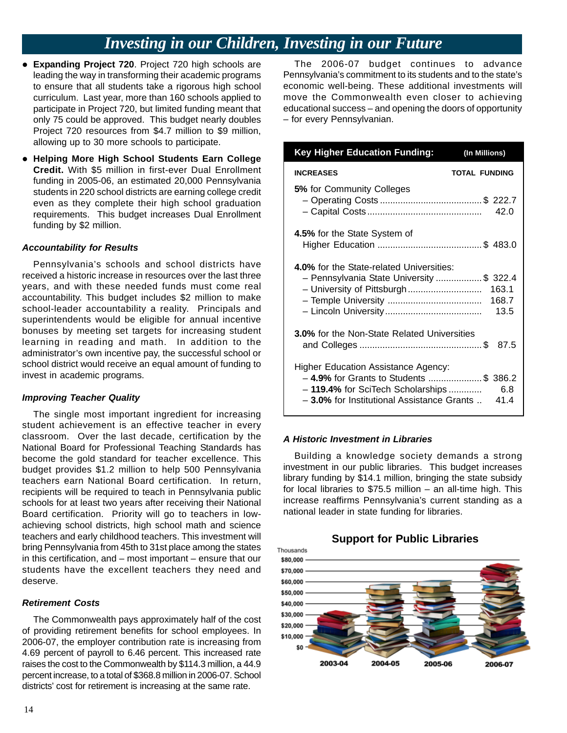## *Investing in our Children, Investing in our Future*

- **Expanding Project 720. Project 720 high schools are** leading the way in transforming their academic programs to ensure that all students take a rigorous high school curriculum. Last year, more than 160 schools applied to participate in Project 720, but limited funding meant that only 75 could be approved. This budget nearly doubles Project 720 resources from \$4.7 million to \$9 million, allowing up to 30 more schools to participate.
- **Helping More High School Students Earn College Credit.** With \$5 million in first-ever Dual Enrollment funding in 2005-06, an estimated 20,000 Pennsylvania students in 220 school districts are earning college credit even as they complete their high school graduation requirements. This budget increases Dual Enrollment funding by \$2 million.

### *Accountability for Results*

Pennsylvania's schools and school districts have received a historic increase in resources over the last three years, and with these needed funds must come real accountability. This budget includes \$2 million to make school-leader accountability a reality. Principals and superintendents would be eligible for annual incentive bonuses by meeting set targets for increasing student learning in reading and math. In addition to the administrator's own incentive pay, the successful school or school district would receive an equal amount of funding to invest in academic programs.

### *Improving Teacher Quality*

The single most important ingredient for increasing student achievement is an effective teacher in every classroom. Over the last decade, certification by the National Board for Professional Teaching Standards has become the gold standard for teacher excellence. This budget provides \$1.2 million to help 500 Pennsylvania teachers earn National Board certification. In return, recipients will be required to teach in Pennsylvania public schools for at least two years after receiving their National Board certification. Priority will go to teachers in lowachieving school districts, high school math and science teachers and early childhood teachers. This investment will bring Pennsylvania from 45th to 31st place among the states in this certification, and – most important – ensure that our students have the excellent teachers they need and deserve.

### *Retirement Costs*

The Commonwealth pays approximately half of the cost of providing retirement benefits for school employees. In 2006-07, the employer contribution rate is increasing from 4.69 percent of payroll to 6.46 percent. This increased rate raises the cost to the Commonwealth by \$114.3 million, a 44.9 percent increase, to a total of \$368.8 million in 2006-07. School districts' cost for retirement is increasing at the same rate.

The 2006-07 budget continues to advance Pennsylvania's commitment to its students and to the state's economic well-being. These additional investments will move the Commonwealth even closer to achieving educational success – and opening the doors of opportunity – for every Pennsylvanian.

| <b>Key Higher Education Funding:</b>                                                                                                                                   | (In Millions)          |
|------------------------------------------------------------------------------------------------------------------------------------------------------------------------|------------------------|
| <b>INCREASES</b>                                                                                                                                                       | <b>TOTAL FUNDING</b>   |
| 5% for Community Colleges                                                                                                                                              | 42.0                   |
| 4.5% for the State System of                                                                                                                                           |                        |
| <b>4.0%</b> for the State-related Universities:<br>- Pennsylvania State University \$ 322.4                                                                            | 163.1<br>168.7<br>13.5 |
| <b>3.0%</b> for the Non-State Related Universities                                                                                                                     | - 87.5                 |
| <b>Higher Education Assistance Agency:</b><br>-4.9% for Grants to Students \$ 386.2<br>- 119.4% for SciTech Scholarships<br>- 3.0% for Institutional Assistance Grants | 6.8<br>41.4            |

### *A Historic Investment in Libraries*

Building a knowledge society demands a strong investment in our public libraries. This budget increases library funding by \$14.1 million, bringing the state subsidy for local libraries to \$75.5 million – an all-time high. This increase reaffirms Pennsylvania's current standing as a national leader in state funding for libraries.

### **Support for Public Libraries**

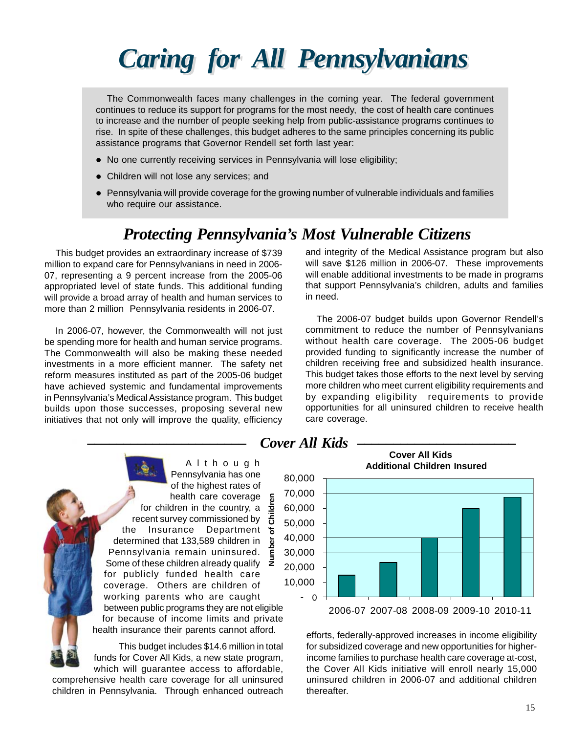# <span id="page-14-0"></span>*Caring for All Pennsylvanians*

The Commonwealth faces many challenges in the coming year. The federal government continues to reduce its support for programs for the most needy, the cost of health care continues to increase and the number of people seeking help from public-assistance programs continues to rise. In spite of these challenges, this budget adheres to the same principles concerning its public assistance programs that Governor Rendell set forth last year:

- No one currently receiving services in Pennsylvania will lose eligibility;
- Children will not lose any services; and
- Pennsylvania will provide coverage for the growing number of vulnerable individuals and families who require our assistance.

## *Protecting Pennsylvania's Most Vulnerable Citizens*

This budget provides an extraordinary increase of \$739 million to expand care for Pennsylvanians in need in 2006- 07, representing a 9 percent increase from the 2005-06 appropriated level of state funds. This additional funding will provide a broad array of health and human services to more than 2 million Pennsylvania residents in 2006-07.

In 2006-07, however, the Commonwealth will not just be spending more for health and human service programs. The Commonwealth will also be making these needed investments in a more efficient manner. The safety net reform measures instituted as part of the 2005-06 budget have achieved systemic and fundamental improvements in Pennsylvania's Medical Assistance program. This budget builds upon those successes, proposing several new initiatives that not only will improve the quality, efficiency and integrity of the Medical Assistance program but also will save \$126 million in 2006-07. These improvements will enable additional investments to be made in programs that support Pennsylvania's children, adults and families in need.

The 2006-07 budget builds upon Governor Rendell's commitment to reduce the number of Pennsylvanians without health care coverage. The 2005-06 budget provided funding to significantly increase the number of children receiving free and subsidized health insurance. This budget takes those efforts to the next level by serving more children who meet current eligibility requirements and by expanding eligibility requirements to provide opportunities for all uninsured children to receive health care coverage.



Pennsylvania has one<br>
of the highest rates of<br>
health care coverage  $\frac{2}{5}$  70,000<br>
Idren in the country, a  $\frac{1}{2}$  60,000<br>
urvey commissioned by  $\frac{1}{5}$  50,000 for children in the country, a recent survey commissioned by the Insurance Department 5 determined that 133,589 children in Pennsylvania remain uninsured. Some of these children already qualify  $\bar{z}$  20,000<br>for publicly funded health care **Number of Children** for publicly funded health care<br>coverage. Others are children of 10,000 working parents who are caught  $\sim 0$ <br>between public programs they are not eligible for because of income limits and private health insurance their parents cannot afford.

comprehensive health care coverage for all uninsured uninsured children in 2006-07 and additional children children in Pennsylvania. Through enhanced outreach thereafter.



 efforts, federally-approved increases in income eligibility This budget includes \$14.6 million in total for subsidized coverage and new opportunities for higherfunds for Cover All Kids, a new state program, income families to purchase health care coverage at-cost, which will guarantee access to affordable, the Cover All Kids initiative will enroll nearly 15,000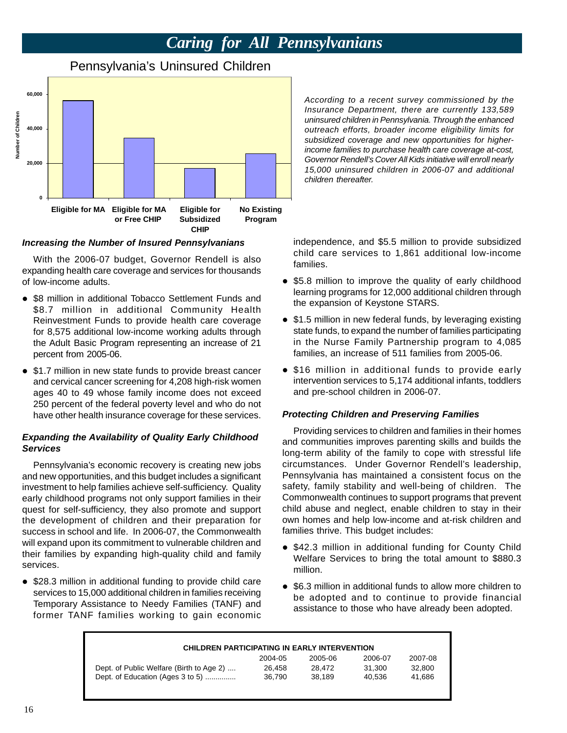## *Caring for All Pennsylvanians*

## **60,000 Number of Children**  Number of Children **40,000 20,000 0 Eligible for MA Eligible for MA Eligible for No Existing or Free CHIP Subsidized Program CHIP**

## Pennsylvania's Uninsured Children

### *Increasing the Number of Insured Pennsylvanians*

With the 2006-07 budget, Governor Rendell is also expanding health care coverage and services for thousands of low-income adults.

- \$8 million in additional Tobacco Settlement Funds and \$8.7 million in additional Community Health Reinvestment Funds to provide health care coverage for 8,575 additional low-income working adults through the Adult Basic Program representing an increase of 21 percent from 2005-06.
- \$1.7 million in new state funds to provide breast cancer and cervical cancer screening for 4,208 high-risk women ages 40 to 49 whose family income does not exceed 250 percent of the federal poverty level and who do not have other health insurance coverage for these services.

### *Expanding the Availability of Quality Early Childhood Services*

Pennsylvania's economic recovery is creating new jobs and new opportunities, and this budget includes a significant investment to help families achieve self-sufficiency. Quality early childhood programs not only support families in their quest for self-sufficiency, they also promote and support the development of children and their preparation for success in school and life. In 2006-07, the Commonwealth will expand upon its commitment to vulnerable children and their families by expanding high-quality child and family services.

• \$28.3 million in additional funding to provide child care services to 15,000 additional children in families receiving Temporary Assistance to Needy Families (TANF) and former TANF families working to gain economic *According to a recent survey commissioned by the Insurance Department, there are currently 133,589 uninsured children in Pennsylvania. Through the enhanced outreach efforts, broader income eligibility limits for subsidized coverage and new opportunities for higherincome families to purchase health care coverage at-cost, Governor Rendell's Cover All Kids initiative will enroll nearly 15,000 uninsured children in 2006-07 and additional children thereafter.* 

independence, and \$5.5 million to provide subsidized child care services to 1,861 additional low-income families.

- \$5.8 million to improve the quality of early childhood learning programs for 12,000 additional children through the expansion of Keystone STARS.
- \$1.5 million in new federal funds, by leveraging existing state funds, to expand the number of families participating in the Nurse Family Partnership program to 4,085 families, an increase of 511 families from 2005-06.
- \$16 million in additional funds to provide early intervention services to 5,174 additional infants, toddlers and pre-school children in 2006-07.

### *Protecting Children and Preserving Families*

Providing services to children and families in their homes and communities improves parenting skills and builds the long-term ability of the family to cope with stressful life circumstances. Under Governor Rendell's leadership, Pennsylvania has maintained a consistent focus on the safety, family stability and well-being of children. The Commonwealth continues to support programs that prevent child abuse and neglect, enable children to stay in their own homes and help low-income and at-risk children and families thrive. This budget includes:

- \$42.3 million in additional funding for County Child Welfare Services to bring the total amount to \$880.3 million.
- \$6.3 million in additional funds to allow more children to be adopted and to continue to provide financial assistance to those who have already been adopted.

| <b>CHILDREN PARTICIPATING IN EARLY INTERVENTION</b> |         |         |         |         |  |  |
|-----------------------------------------------------|---------|---------|---------|---------|--|--|
|                                                     | 2004-05 | 2005-06 | 2006-07 | 2007-08 |  |  |
| Dept. of Public Welfare (Birth to Age 2)            | 26.458  | 28.472  | 31.300  | 32,800  |  |  |
| Dept. of Education (Ages 3 to 5)                    | 36.790  | 38.189  | 40.536  | 41.686  |  |  |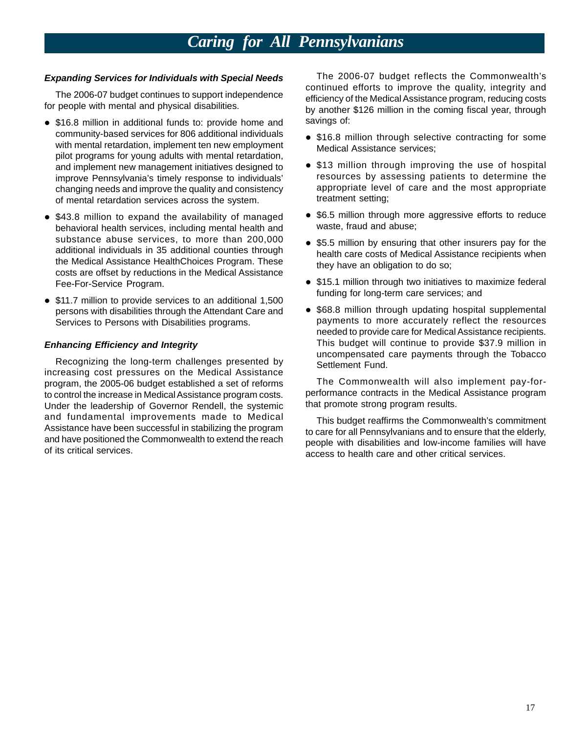## *Caring for All Pennsylvanians*

- \$16.8 million in additional funds to: provide home and savings of: community-based services for 806 additional individuals with mental retardation, implement ten new employment pilot programs for young adults with mental retardation, and implement new management initiatives designed to improve Pennsylvania's timely response to individuals' changing needs and improve the quality and consistency of mental retardation services across the system.
- \$43.8 million to expand the availability of managed behavioral health services, including mental health and substance abuse services, to more than 200,000 additional individuals in 35 additional counties through the Medical Assistance HealthChoices Program. These costs are offset by reductions in the Medical Assistance Fee-For-Service Program.
- \$11.7 million to provide services to an additional 1,500 persons with disabilities through the Attendant Care and Services to Persons with Disabilities programs.

### *Enhancing Efficiency and Integrity*

Recognizing the long-term challenges presented by increasing cost pressures on the Medical Assistance program, the 2005-06 budget established a set of reforms to control the increase in Medical Assistance program costs. Under the leadership of Governor Rendell, the systemic and fundamental improvements made to Medical Assistance have been successful in stabilizing the program and have positioned the Commonwealth to extend the reach of its critical services.

**Expanding Services for Individuals with Special Needs** The 2006-07 budget reflects the Commonwealth's continued efforts to improve the quality, integrity and The 2006-07 budget continues to support independence<br>friciency of the Medical Assistance program, reducing costs<br>for people with mental and physical disabilities.<br>by another \$126 million in the coming fiscal year, through

- \$16.8 million through selective contracting for some Medical Assistance services;
- \$13 million through improving the use of hospital resources by assessing patients to determine the appropriate level of care and the most appropriate treatment setting;
- \$6.5 million through more aggressive efforts to reduce waste, fraud and abuse;
- \$5.5 million by ensuring that other insurers pay for the health care costs of Medical Assistance recipients when they have an obligation to do so;
- \$15.1 million through two initiatives to maximize federal funding for long-term care services; and
- \$68.8 million through updating hospital supplemental payments to more accurately reflect the resources needed to provide care for Medical Assistance recipients. This budget will continue to provide \$37.9 million in uncompensated care payments through the Tobacco Settlement Fund.

The Commonwealth will also implement pay-forperformance contracts in the Medical Assistance program that promote strong program results.

This budget reaffirms the Commonwealth's commitment to care for all Pennsylvanians and to ensure that the elderly, people with disabilities and low-income families will have access to health care and other critical services.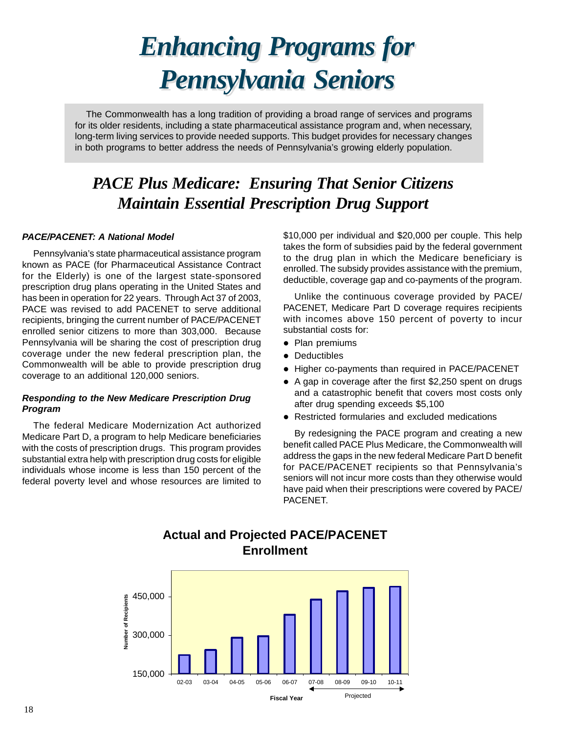# *Enhancing Programs for Enhancing Programs for Pennsylvania Seniors Pennsylvania Seniors*

<span id="page-17-0"></span>The Commonwealth has a long tradition of providing a broad range of services and programs for its older residents, including a state pharmaceutical assistance program and, when necessary, long-term living services to provide needed supports. This budget provides for necessary changes in both programs to better address the needs of Pennsylvania's growing elderly population.

## *PACE Plus Medicare: Ensuring That Senior Citizens Maintain Essential Prescription Drug Support*

### *PACE/PACENET: A National Model*

Pennsylvania's state pharmaceutical assistance program known as PACE (for Pharmaceutical Assistance Contract for the Elderly) is one of the largest state-sponsored prescription drug plans operating in the United States and has been in operation for 22 years. Through Act 37 of 2003, PACE was revised to add PACENET to serve additional recipients, bringing the current number of PACE/PACENET enrolled senior citizens to more than 303,000. Because Pennsylvania will be sharing the cost of prescription drug coverage under the new federal prescription plan, the Commonwealth will be able to provide prescription drug coverage to an additional 120,000 seniors.

### *Responding to the New Medicare Prescription Drug Program*

The federal Medicare Modernization Act authorized Medicare Part D, a program to help Medicare beneficiaries with the costs of prescription drugs. This program provides substantial extra help with prescription drug costs for eligible individuals whose income is less than 150 percent of the federal poverty level and whose resources are limited to \$10,000 per individual and \$20,000 per couple. This help takes the form of subsidies paid by the federal government to the drug plan in which the Medicare beneficiary is enrolled. The subsidy provides assistance with the premium, deductible, coverage gap and co-payments of the program.

Unlike the continuous coverage provided by PACE/ PACENET, Medicare Part D coverage requires recipients with incomes above 150 percent of poverty to incur substantial costs for:

- Plan premiums
- Deductibles
- Higher co-payments than required in PACE/PACENET
- A gap in coverage after the first \$2,250 spent on drugs and a catastrophic benefit that covers most costs only after drug spending exceeds \$5,100
- Restricted formularies and excluded medications

By redesigning the PACE program and creating a new benefit called PACE Plus Medicare, the Commonwealth will address the gaps in the new federal Medicare Part D benefit for PACE/PACENET recipients so that Pennsylvania's seniors will not incur more costs than they otherwise would have paid when their prescriptions were covered by PACE/ PACENET.

### **Actual and Projected PACE/PACENET Enrollment**

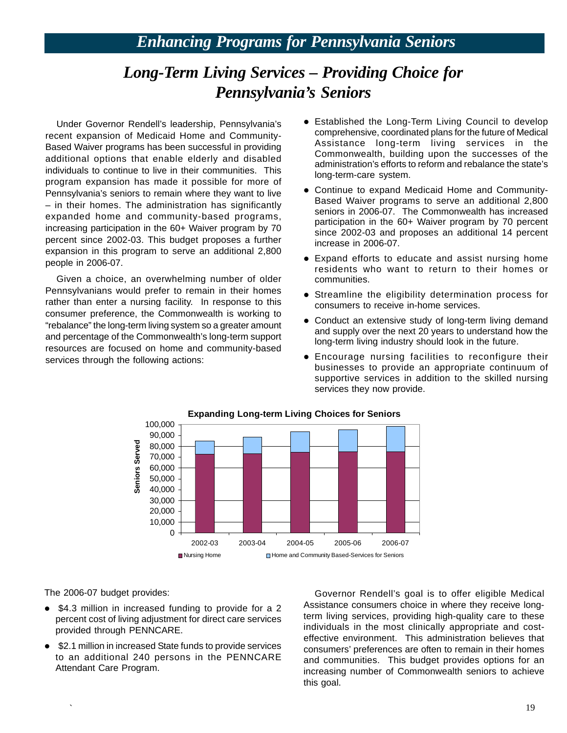## *Enhancing Programs for Pennsylvania Seniors*

## *Long-Term Living Services – Providing Choice for Pennsylvania's Seniors*

Under Governor Rendell's leadership, Pennsylvania's recent expansion of Medicaid Home and Community-Based Waiver programs has been successful in providing additional options that enable elderly and disabled individuals to continue to live in their communities. This program expansion has made it possible for more of Pennsylvania's seniors to remain where they want to live – in their homes. The administration has significantly expanded home and community-based programs, increasing participation in the 60+ Waiver program by 70 percent since 2002-03. This budget proposes a further expansion in this program to serve an additional 2,800 people in 2006-07.

Given a choice, an overwhelming number of older Pennsylvanians would prefer to remain in their homes rather than enter a nursing facility. In response to this consumer preference, the Commonwealth is working to "rebalance" the long-term living system so a greater amount and percentage of the Commonwealth's long-term support resources are focused on home and community-based services through the following actions:

- Established the Long-Term Living Council to develop comprehensive, coordinated plans for the future of Medical Assistance long-term living services in the Commonwealth, building upon the successes of the administration's efforts to reform and rebalance the state's long-term-care system.
- Continue to expand Medicaid Home and Community-Based Waiver programs to serve an additional 2,800 seniors in 2006-07. The Commonwealth has increased participation in the 60+ Waiver program by 70 percent since 2002-03 and proposes an additional 14 percent increase in 2006-07.
- Expand efforts to educate and assist nursing home residents who want to return to their homes or communities.
- Streamline the eligibility determination process for consumers to receive in-home services.
- Conduct an extensive study of long-term living demand and supply over the next 20 years to understand how the long-term living industry should look in the future.
- **•** Encourage nursing facilities to reconfigure their businesses to provide an appropriate continuum of supportive services in addition to the skilled nursing services they now provide.



The 2006-07 budget provides:

- \$4.3 million in increased funding to provide for a 2 percent cost of living adjustment for direct care services provided through PENNCARE.
- \$2.1 million in increased State funds to provide services to an additional 240 persons in the PENNCARE Attendant Care Program.

Governor Rendell's goal is to offer eligible Medical Assistance consumers choice in where they receive longterm living services, providing high-quality care to these individuals in the most clinically appropriate and costeffective environment. This administration believes that consumers' preferences are often to remain in their homes and communities. This budget provides options for an increasing number of Commonwealth seniors to achieve this goal.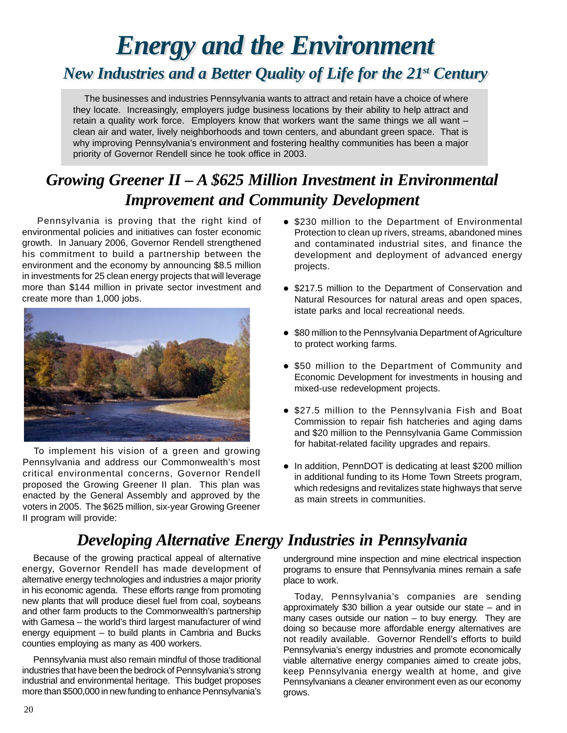# *Energy and the Environment Energy and the Environment*

## <span id="page-19-0"></span>*New Industries and a Better Quality of Life for the 21st Century*

The businesses and industries Pennsylvania wants to attract and retain have a choice of where they locate. Increasingly, employers judge business locations by their ability to help attract and retain a quality work force. Employers know that workers want the same things we all want – clean air and water, lively neighborhoods and town centers, and abundant green space. That is why improving Pennsylvania's environment and fostering healthy communities has been a major priority of Governor Rendell since he took office in 2003.

## *Growing Greener II – A \$625 Million Investment in Environmental Improvement and Community Development*

Pennsylvania is proving that the right kind of environmental policies and initiatives can foster economic growth. In January 2006, Governor Rendell strengthened his commitment to build a partnership between the environment and the economy by announcing \$8.5 million in investments for 25 clean energy projects that will leverage more than \$144 million in private sector investment and create more than 1,000 jobs.



To implement his vision of a green and growing Pennsylvania and address our Commonwealth's most critical environmental concerns, Governor Rendell proposed the Growing Greener II plan. This plan was enacted by the General Assembly and approved by the voters in 2005. The \$625 million, six-year Growing Greener II program will provide:

- \$230 million to the Department of Environmental Protection to clean up rivers, streams, abandoned mines and contaminated industrial sites, and finance the development and deployment of advanced energy projects.
- \$217.5 million to the Department of Conservation and Natural Resources for natural areas and open spaces, istate parks and local recreational needs.
- \$80 million to the Pennsylvania Department of Agriculture to protect working farms.
- \$50 million to the Department of Community and Economic Development for investments in housing and mixed-use redevelopment projects.
- \$27.5 million to the Pennsylvania Fish and Boat Commission to repair fish hatcheries and aging dams and \$20 million to the Pennsylvania Game Commission for habitat-related facility upgrades and repairs.
- In addition, PennDOT is dedicating at least \$200 million in additional funding to its Home Town Streets program, which redesigns and revitalizes state highways that serve as main streets in communities.

## *Developing Alternative Energy Industries in Pennsylvania*

Because of the growing practical appeal of alternative energy, Governor Rendell has made development of alternative energy technologies and industries a major priority in his economic agenda. These efforts range from promoting new plants that will produce diesel fuel from coal, soybeans and other farm products to the Commonwealth's partnership with Gamesa – the world's third largest manufacturer of wind energy equipment – to build plants in Cambria and Bucks counties employing as many as 400 workers.

Pennsylvania must also remain mindful of those traditional industries that have been the bedrock of Pennsylvania's strong industrial and environmental heritage. This budget proposes more than \$500,000 in new funding to enhance Pennsylvania's

underground mine inspection and mine electrical inspection programs to ensure that Pennsylvania mines remain a safe place to work.

Today, Pennsylvania's companies are sending approximately \$30 billion a year outside our state – and in many cases outside our nation – to buy energy. They are doing so because more affordable energy alternatives are not readily available. Governor Rendell's efforts to build Pennsylvania's energy industries and promote economically viable alternative energy companies aimed to create jobs, keep Pennsylvania energy wealth at home, and give Pennsylvanians a cleaner environment even as our economy grows.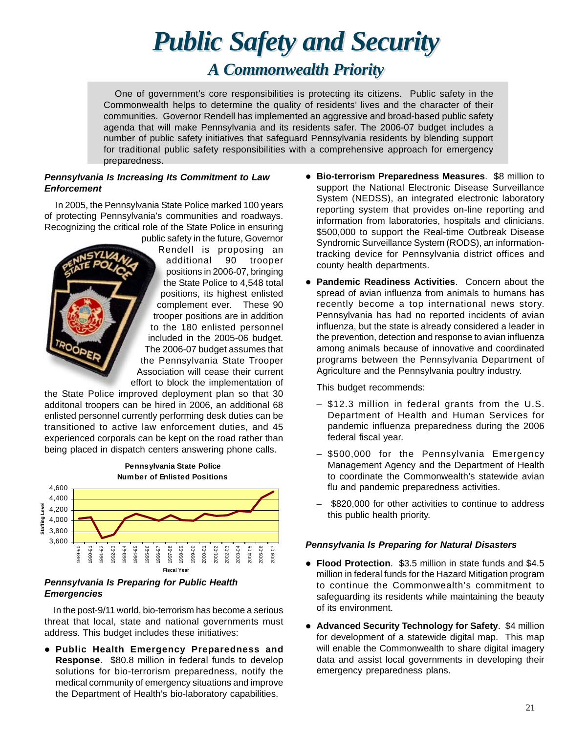# *Public Safety and Security Public Safety and Security*

## A Commonwealth Priority

<span id="page-20-0"></span>One of government's core responsibilities is protecting its citizens. Public safety in the Commonwealth helps to determine the quality of residents' lives and the character of their communities. Governor Rendell has implemented an aggressive and broad-based public safety agenda that will make Pennsylvania and its residents safer. The 2006-07 budget includes a number of public safety initiatives that safeguard Pennsylvania residents by blending support for traditional public safety responsibilities with a comprehensive approach for emergency preparedness.

### *Pennsylvania Is Increasing Its Commitment to Law Enforcement*

In 2005, the Pennsylvania State Police marked 100 years of protecting Pennsylvania's communities and roadways. Recognizing the critical role of the State Police in ensuring

public safety in the future, Governor Rendell is proposing an additional 90 trooper positions in 2006-07, bringing the State Police to 4,548 total positions, its highest enlisted complement ever. These 90 trooper positions are in addition to the 180 enlisted personnel included in the 2005-06 budget. The 2006-07 budget assumes that the Pennsylvania State Trooper Association will cease their current effort to block the implementation of

the State Police improved deployment plan so that 30 additonal troopers can be hired in 2006, an additional 68 enlisted personnel currently performing desk duties can be transitioned to active law enforcement duties, and 45 experienced corporals can be kept on the road rather than being placed in dispatch centers answering phone calls.



### *Pennsylvania Is Preparing for Public Health Emergencies*

In the post-9/11 world, bio-terrorism has become a serious threat that local, state and national governments must address. This budget includes these initiatives:

z **Public Health Emergency Preparedness and Response**. \$80.8 million in federal funds to develop solutions for bio-terrorism preparedness, notify the medical community of emergency situations and improve the Department of Health's bio-laboratory capabilities.

- **Bio-terrorism Preparedness Measures. \$8 million to** support the National Electronic Disease Surveillance System (NEDSS), an integrated electronic laboratory reporting system that provides on-line reporting and information from laboratories, hospitals and clinicians. \$500,000 to support the Real-time Outbreak Disease Syndromic Surveillance System (RODS), an informationtracking device for Pennsylvania district offices and county health departments.
- **Pandemic Readiness Activities.** Concern about the spread of avian influenza from animals to humans has recently become a top international news story. Pennsylvania has had no reported incidents of avian influenza, but the state is already considered a leader in the prevention, detection and response to avian influenza among animals because of innovative and coordinated programs between the Pennsylvania Department of Agriculture and the Pennsylvania poultry industry.

This budget recommends:

- $-$  \$12.3 million in federal grants from the U.S. Department of Health and Human Services for pandemic influenza preparedness during the 2006 federal fiscal year.
- \$500,000 for the Pennsylvania Emergency Management Agency and the Department of Health to coordinate the Commonwealth's statewide avian flu and pandemic preparedness activities.
- \$820,000 for other activities to continue to address this public health priority.

### *Pennsylvania Is Preparing for Natural Disasters*

- **Flood Protection.** \$3.5 million in state funds and \$4.5 million in federal funds for the Hazard Mitigation program to continue the Commonwealth's commitment to safeguarding its residents while maintaining the beauty of its environment.
- **Advanced Security Technology for Safety. \$4 million** for development of a statewide digital map. This map will enable the Commonwealth to share digital imagery data and assist local governments in developing their emergency preparedness plans.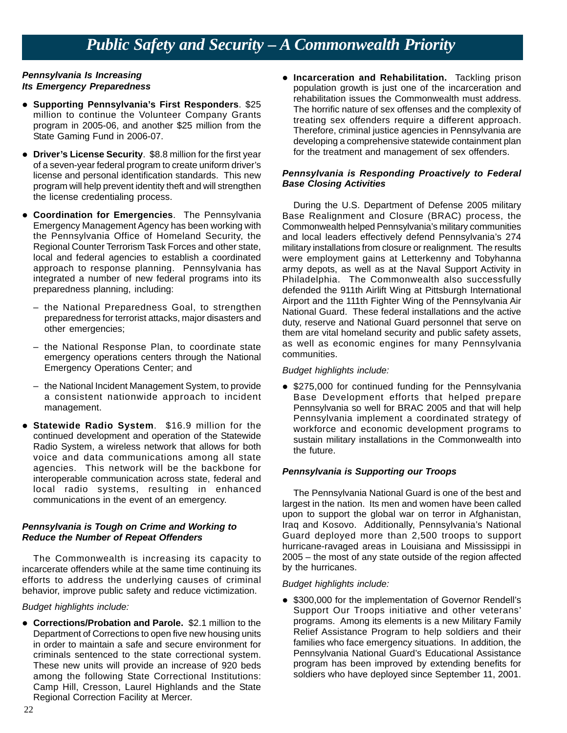## *Public Safety and Security – A Commonwealth Priority*

### *Pennsylvania Is Increasing Its Emergency Preparedness*

- **Supporting Pennsylvania's First Responders. \$25** million to continue the Volunteer Company Grants program in 2005-06, and another \$25 million from the State Gaming Fund in 2006-07.
- **Driver's License Security. \$8.8 million for the first year** of a seven-year federal program to create uniform driver's license and personal identification standards. This new program will help prevent identity theft and will strengthen the license credentialing process.
- **Coordination for Emergencies**. The Pennsylvania Emergency Management Agency has been working with the Pennsylvania Office of Homeland Security, the Regional Counter Terrorism Task Forces and other state, local and federal agencies to establish a coordinated approach to response planning. Pennsylvania has integrated a number of new federal programs into its preparedness planning, including:
	- the National Preparedness Goal, to strengthen preparedness for terrorist attacks, major disasters and other emergencies;
	- the National Response Plan, to coordinate state emergency operations centers through the National Emergency Operations Center; and
	- the National Incident Management System, to provide a consistent nationwide approach to incident management.
- **Statewide Radio System.** \$16.9 million for the continued development and operation of the Statewide Radio System, a wireless network that allows for both voice and data communications among all state agencies. This network will be the backbone for interoperable communication across state, federal and local radio systems, resulting in enhanced communications in the event of an emergency.

### *Pennsylvania is Tough on Crime and Working to Reduce the Number of Repeat Offenders*

The Commonwealth is increasing its capacity to incarcerate offenders while at the same time continuing its efforts to address the underlying causes of criminal behavior, improve public safety and reduce victimization.

### *Budget highlights include:*

**• Corrections/Probation and Parole.** \$2.1 million to the Department of Corrections to open five new housing units in order to maintain a safe and secure environment for criminals sentenced to the state correctional system. These new units will provide an increase of 920 beds among the following State Correctional Institutions: Camp Hill, Cresson, Laurel Highlands and the State Regional Correction Facility at Mercer.

**• Incarceration and Rehabilitation.** Tackling prison population growth is just one of the incarceration and rehabilitation issues the Commonwealth must address. The horrific nature of sex offenses and the complexity of treating sex offenders require a different approach. Therefore, criminal justice agencies in Pennsylvania are developing a comprehensive statewide containment plan for the treatment and management of sex offenders.

### *Pennsylvania is Responding Proactively to Federal Base Closing Activities*

During the U.S. Department of Defense 2005 military Base Realignment and Closure (BRAC) process, the Commonwealth helped Pennsylvania's military communities and local leaders effectively defend Pennsylvania's 274 military installations from closure or realignment. The results were employment gains at Letterkenny and Tobyhanna army depots, as well as at the Naval Support Activity in Philadelphia. The Commonwealth also successfully defended the 911th Airlift Wing at Pittsburgh International Airport and the 111th Fighter Wing of the Pennsylvania Air National Guard. These federal installations and the active duty, reserve and National Guard personnel that serve on them are vital homeland security and public safety assets, as well as economic engines for many Pennsylvania communities.

### *Budget highlights include:*

• \$275,000 for continued funding for the Pennsylvania Base Development efforts that helped prepare Pennsylvania so well for BRAC 2005 and that will help Pennsylvania implement a coordinated strategy of workforce and economic development programs to sustain military installations in the Commonwealth into the future.

### *Pennsylvania is Supporting our Troops*

The Pennsylvania National Guard is one of the best and largest in the nation. Its men and women have been called upon to support the global war on terror in Afghanistan, Iraq and Kosovo. Additionally, Pennsylvania's National Guard deployed more than 2,500 troops to support hurricane-ravaged areas in Louisiana and Mississippi in 2005 – the most of any state outside of the region affected by the hurricanes.

### *Budget highlights include:*

• \$300,000 for the implementation of Governor Rendell's Support Our Troops initiative and other veterans' programs. Among its elements is a new Military Family Relief Assistance Program to help soldiers and their families who face emergency situations. In addition, the Pennsylvania National Guard's Educational Assistance program has been improved by extending benefits for soldiers who have deployed since September 11, 2001.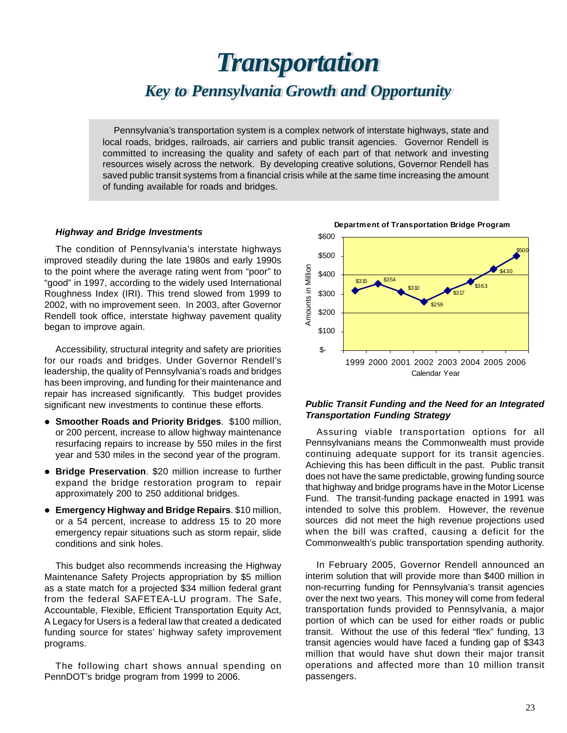## <span id="page-22-0"></span>*TTransport ransportation ation Key to Pennsylvania Growth and Opportunity Key to Pennsylvania Growth and Opportunity*

Pennsylvania's transportation system is a complex network of interstate highways, state and local roads, bridges, railroads, air carriers and public transit agencies. Governor Rendell is committed to increasing the quality and safety of each part of that network and investing resources wisely across the network. By developing creative solutions, Governor Rendell has saved public transit systems from a financial crisis while at the same time increasing the amount of funding available for roads and bridges.

### *Highway and Bridge Investments* **Example 2018** 2600

The condition of Pennsylvania's interstate highways  $$500$ improved steadily during the late 1980s and early 1990s to the point where the average rating went from "poor" to "good" in 1997, according to the widely used International Roughness Index (IRI). This trend slowed from 1999 to 2002, with no improvement seen. In 2003, after Governor Rendell took office, interstate highway pavement quality began to improve again.

Accessibility, structural integrity and safety are priorities for our roads and bridges. Under Governor Rendell's leadership, the quality of Pennsylvania's roads and bridges has been improving, and funding for their maintenance and repair has increased significantly. This budget provides significant new investments to continue these efforts.

- **Smoother Roads and Priority Bridges. \$100 million,** or 200 percent, increase to allow highway maintenance resurfacing repairs to increase by 550 miles in the first year and 530 miles in the second year of the program.
- **Bridge Preservation.** \$20 million increase to further expand the bridge restoration program to repair approximately 200 to 250 additional bridges.
- **Emergency Highway and Bridge Repairs. \$10 million,** or a 54 percent, increase to address 15 to 20 more emergency repair situations such as storm repair, slide conditions and sink holes.

This budget also recommends increasing the Highway Maintenance Safety Projects appropriation by \$5 million as a state match for a projected \$34 million federal grant from the federal SAFETEA-LU program. The Safe, Accountable, Flexible, Efficient Transportation Equity Act, A Legacy for Users is a federal law that created a dedicated funding source for states' highway safety improvement programs.

The following chart shows annual spending on PennDOT's bridge program from 1999 to 2006.



### *Public Transit Funding and the Need for an Integrated Transportation Funding Strategy*

Assuring viable transportation options for all Pennsylvanians means the Commonwealth must provide continuing adequate support for its transit agencies. Achieving this has been difficult in the past. Public transit does not have the same predictable, growing funding source that highway and bridge programs have in the Motor License Fund. The transit-funding package enacted in 1991 was intended to solve this problem. However, the revenue sources did not meet the high revenue projections used when the bill was crafted, causing a deficit for the Commonwealth's public transportation spending authority.

In February 2005, Governor Rendell announced an interim solution that will provide more than \$400 million in non-recurring funding for Pennsylvania's transit agencies over the next two years. This money will come from federal transportation funds provided to Pennsylvania, a major portion of which can be used for either roads or public transit. Without the use of this federal "flex" funding, 13 transit agencies would have faced a funding gap of \$343 million that would have shut down their major transit operations and affected more than 10 million transit passengers.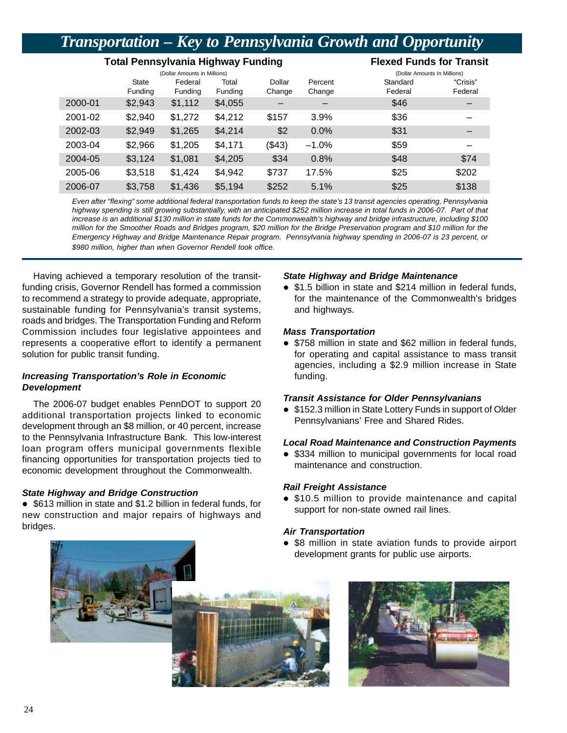## *Transportation – Key to Pennsylvania Growth and Opportunity*

### **Total Pennsylvania Highway Funding Fig. 2018 Flexed Funds for Transit**

|         |              | (Dollar Amounts in Millions) |         |        |         | (Dollar Amounts In Millions) |          |
|---------|--------------|------------------------------|---------|--------|---------|------------------------------|----------|
|         | <b>State</b> | Federal                      | Total   | Dollar | Percent | Standard                     | "Crisis" |
|         | Funding      | Funding                      | Funding | Change | Change  | Federal                      | Federal  |
| 2000-01 | \$2,943      | \$1,112                      | \$4,055 |        |         | \$46                         |          |
| 2001-02 | \$2,940      | \$1,272                      | \$4,212 | \$157  | 3.9%    | \$36                         |          |
| 2002-03 | \$2,949      | \$1,265                      | \$4,214 | \$2    | 0.0%    | \$31                         |          |
| 2003-04 | \$2,966      | \$1,205                      | \$4,171 | (\$43) | $-1.0%$ | \$59                         |          |
| 2004-05 | \$3,124      | \$1,081                      | \$4,205 | \$34   | 0.8%    | \$48                         | \$74     |
| 2005-06 | \$3,518      | \$1,424                      | \$4,942 | \$737  | 17.5%   | \$25                         | \$202    |
| 2006-07 | \$3,758      | \$1,436                      | \$5,194 | \$252  | 5.1%    | \$25                         | \$138    |

*Even after "flexing" some additional federal transportation funds to keep the state's 13 transit agencies operating, Pennsylvania highway spending is still growing substantially, with an anticipated \$252 million increase in total funds in 2006-07. Part of that increase is an additional \$130 million in state funds for the Commonwealth's highway and bridge infrastructure, including \$100 million for the Smoother Roads and Bridges program, \$20 million for the Bridge Preservation program and \$10 million for the Emergency Highway and Bridge Maintenance Repair program. Pennsylvania highway spending in 2006-07 is 23 percent, or \$980 million, higher than when Governor Rendell took office.* 

Having achieved a temporary resolution of the transitfunding crisis, Governor Rendell has formed a commission to recommend a strategy to provide adequate, appropriate, sustainable funding for Pennsylvania's transit systems, roads and bridges. The Transportation Funding and Reform Commission includes four legislative appointees and represents a cooperative effort to identify a permanent solution for public transit funding.

### *Increasing Transportation's Role in Economic Development*

The 2006-07 budget enables PennDOT to support 20 additional transportation projects linked to economic development through an \$8 million, or 40 percent, increase to the Pennsylvania Infrastructure Bank. This low-interest loan program offers municipal governments flexible financing opportunities for transportation projects tied to economic development throughout the Commonwealth.

### *State Highway and Bridge Construction*

• \$613 million in state and \$1.2 billion in federal funds, for new construction and major repairs of highways and bridges.

### *State Highway and Bridge Maintenance*

• \$1.5 billion in state and \$214 million in federal funds, for the maintenance of the Commonwealth's bridges and highways.

### *Mass Transportation*

• \$758 million in state and \$62 million in federal funds, for operating and capital assistance to mass transit agencies, including a \$2.9 million increase in State funding.

### *Transit Assistance for Older Pennsylvanians*

• \$152.3 million in State Lottery Funds in support of Older Pennsylvanians' Free and Shared Rides.

### *Local Road Maintenance and Construction Payments*

• \$334 million to municipal governments for local road maintenance and construction.

### *Rail Freight Assistance*

• \$10.5 million to provide maintenance and capital support for non-state owned rail lines.

### *Air Transportation*

• \$8 million in state aviation funds to provide airport development grants for public use airports.



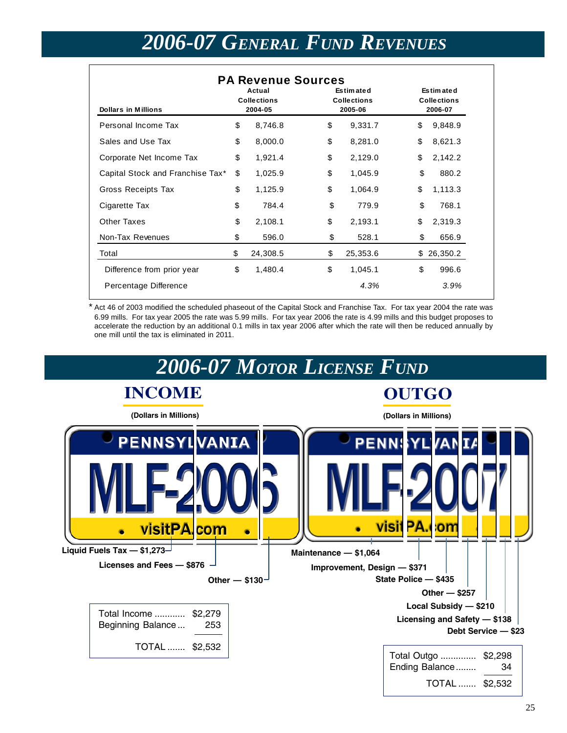## *2006-07 GENERAL FUND REVENUES*

<span id="page-24-0"></span>

| <b>Dollars in Millions</b>       | <b>PA Revenue Sources</b><br>Actual<br><b>Collections</b><br>2004-05 |          | <b>Estimated</b><br><b>Collections</b><br>2005-06 | Estimated<br><b>Collections</b><br>2006-07 |          |  |
|----------------------------------|----------------------------------------------------------------------|----------|---------------------------------------------------|--------------------------------------------|----------|--|
| Personal Income Tax              | \$                                                                   | 8,746.8  | \$<br>9,331.7                                     | \$                                         | 9,848.9  |  |
| Sales and Use Tax                | \$                                                                   | 8,000.0  | \$<br>8,281.0                                     | \$                                         | 8,621.3  |  |
| Corporate Net Income Tax         | \$                                                                   | 1,921.4  | \$<br>2,129.0                                     | \$                                         | 2,142.2  |  |
| Capital Stock and Franchise Tax* | \$                                                                   | 1,025.9  | \$<br>1,045.9                                     | \$                                         | 880.2    |  |
| Gross Receipts Tax               | \$                                                                   | 1,125.9  | \$<br>1,064.9                                     | \$                                         | 1,113.3  |  |
| Cigarette Tax                    | \$                                                                   | 784.4    | \$<br>779.9                                       | \$                                         | 768.1    |  |
| Other Taxes                      | \$                                                                   | 2,108.1  | \$<br>2,193.1                                     | \$                                         | 2,319.3  |  |
| Non-Tax Revenues                 | \$                                                                   | 596.0    | \$<br>528.1                                       | \$                                         | 656.9    |  |
| Total                            | \$                                                                   | 24,308.5 | \$<br>25,353.6                                    | \$.                                        | 26,350.2 |  |
| Difference from prior year       | \$                                                                   | 1,480.4  | \$<br>1,045.1                                     | \$                                         | 996.6    |  |
| Percentage Difference            |                                                                      |          | 4.3%                                              |                                            | 3.9%     |  |

Act 46 of 2003 modified the scheduled phaseout of the Capital Stock and Franchise Tax. For tax year 2004 the rate was 6.99 mills. For tax year 2005 the rate was 5.99 mills. For tax year 2006 the rate is 4.99 mills and this budget proposes to accelerate the reduction by an additional 0.1 mills in tax year 2006 after which the rate will then be reduced annually by one mill until the tax is eliminated in 2011.

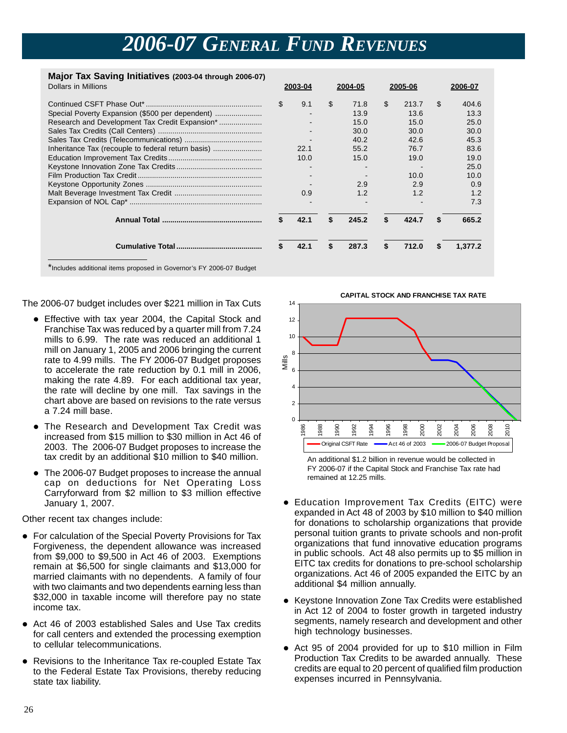## *2006-07 GENERAL FUND REVENUES*

**2003-04** 

### **Major Tax Saving Initiatives (2003-04 through 2006-07)**  Dollars in Millions

| <b>Dollars in Millions</b>                                          |    | 2003-04 | 2004-05     | 2005-06     |   | 2006-07 |
|---------------------------------------------------------------------|----|---------|-------------|-------------|---|---------|
|                                                                     | \$ | 9.1     | \$<br>71.8  | \$<br>213.7 | S | 404.6   |
| Special Poverty Expansion (\$500 per dependent)                     |    |         | 13.9        | 13.6        |   | 13.3    |
|                                                                     |    |         | 15.0        | 15.0        |   | 25.0    |
|                                                                     |    |         | 30.0        | 30.0        |   | 30.0    |
|                                                                     |    |         | 40.2        | 42.6        |   | 45.3    |
| Inheritance Tax (recouple to federal return basis)                  |    | 22.1    | 55.2        | 76.7        |   | 83.6    |
|                                                                     |    | 10.0    | 15.0        | 19.0        |   | 19.0    |
|                                                                     |    |         |             |             |   | 25.0    |
|                                                                     |    |         |             | 10.0        |   | 10.0    |
|                                                                     |    |         | 2.9         | 2.9         |   | 0.9     |
|                                                                     |    | 0.9     | 1.2         | 1.2         |   | 1.2     |
|                                                                     |    |         |             |             |   | 7.3     |
|                                                                     | S  | 42.1    | \$<br>245.2 | \$<br>424.7 | S | 665.2   |
|                                                                     | \$ | 42.1    | \$<br>287.3 | \$<br>712.0 |   | 1,377.2 |
| *Includes additional items proposed in Governor's FY 2006-07 Budget |    |         |             |             |   |         |

The 2006-07 budget includes over \$221 million in Tax Cuts

- Effective with tax year 2004, the Capital Stock and Franchise Tax was reduced by a quarter mill from 7.24 mills to 6.99. The rate was reduced an additional 1 mill on January 1, 2005 and 2006 bringing the current  $\frac{8}{8}$ rate to 4.99 mills. The FY 2006-07 Budget proposes to accelerate the rate reduction by 0.1 mill in 2006, making the rate 4.89. For each additional tax year, the rate will decline by one mill. Tax savings in the  $4$ chart above are based on revisions to the rate versus  $22$ a 7.24 mill base. 0
- The Research and Development Tax Credit was increased from \$15 million to \$30 million in Act 46 of 2003. The 2006-07 Budget proposes to increase the tax credit by an additional \$10 million to \$40 million.
- The 2006-07 Budget proposes to increase the annual cap on deductions for Net Operating Loss Carryforward from \$2 million to \$3 million effective January 1, 2007.

Other recent tax changes include:

- For calculation of the Special Poverty Provisions for Tax Forgiveness, the dependent allowance was increased from \$9,000 to \$9,500 in Act 46 of 2003. Exemptions remain at \$6,500 for single claimants and \$13,000 for married claimants with no dependents. A family of four with two claimants and two dependents earning less than \$32,000 in taxable income will therefore pay no state income tax.
- Act 46 of 2003 established Sales and Use Tax credits for call centers and extended the processing exemption to cellular telecommunications.
- Revisions to the Inheritance Tax re-coupled Estate Tax to the Federal Estate Tax Provisions, thereby reducing state tax liability.

14 12 10 **CAPITAL STOCK AND FRANCHISE TAX RATE**  Mills 6 1986 1988 1990 1992 1994 1996 1998 2000 2002 2004 2006 2008  $\overline{5}$ Original CSFT Rate  $\longrightarrow$  Act 46 of 2003  $\longrightarrow$  2006-07 Budget Proposal

An additional \$1.2 billion in revenue would be collected in FY 2006-07 if the Capital Stock and Franchise Tax rate had remained at 12.25 mills.

- Education Improvement Tax Credits (EITC) were expanded in Act 48 of 2003 by \$10 million to \$40 million for donations to scholarship organizations that provide personal tuition grants to private schools and non-profit organizations that fund innovative education programs in public schools. Act 48 also permits up to \$5 million in EITC tax credits for donations to pre-school scholarship organizations. Act 46 of 2005 expanded the EITC by an additional \$4 million annually.
- Keystone Innovation Zone Tax Credits were established in Act 12 of 2004 to foster growth in targeted industry segments, namely research and development and other high technology businesses.
- Act 95 of 2004 provided for up to \$10 million in Film Production Tax Credits to be awarded annually. These credits are equal to 20 percent of qualified film production expenses incurred in Pennsylvania.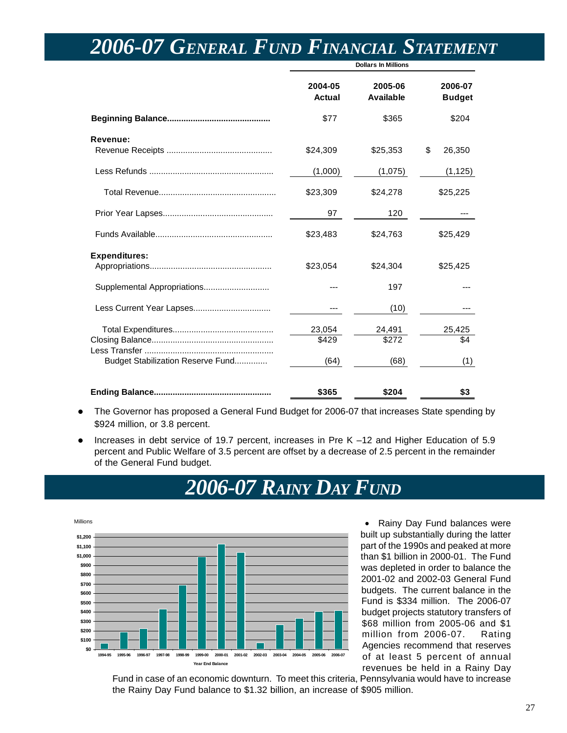|                                   |                          | <b>Dollars In Millions</b>  |                          |
|-----------------------------------|--------------------------|-----------------------------|--------------------------|
|                                   | 2004-05<br><b>Actual</b> | 2005-06<br><b>Available</b> | 2006-07<br><b>Budget</b> |
|                                   | \$77                     | \$365                       | \$204                    |
| Revenue:                          | \$24,309                 | \$25,353                    | \$<br>26,350             |
|                                   | (1,000)                  | (1,075)                     | (1, 125)                 |
|                                   | \$23,309                 | \$24,278                    | \$25,225                 |
|                                   | 97                       | 120                         |                          |
|                                   | \$23,483                 | \$24,763                    | \$25,429                 |
| <b>Expenditures:</b>              | \$23,054                 | \$24,304                    | \$25,425                 |
|                                   |                          | 197                         |                          |
|                                   |                          | (10)                        |                          |
| Budget Stabilization Reserve Fund | 23,054<br>\$429<br>(64)  | 24,491<br>\$272<br>(68)     | 25,425<br>\$4<br>(1)     |
|                                   | \$365                    | \$204                       | \$3                      |

## <span id="page-26-0"></span>*2006-07 GENERAL FUND FINANCIAL STATEMENT*

- The Governor has proposed a General Fund Budget for 2006-07 that increases State spending by \$924 million, or 3.8 percent.
- Increases in debt service of 19.7 percent, increases in Pre K -12 and Higher Education of 5.9 percent and Public Welfare of 3.5 percent are offset by a decrease of 2.5 percent in the remainder of the General Fund budget.

## *2006-07 RAINY DAY FUND*



• Rainy Day Fund balances were built up substantially during the latter part of the 1990s and peaked at more than \$1 billion in 2000-01. The Fund was depleted in order to balance the 2001-02 and 2002-03 General Fund budgets. The current balance in the Fund is \$334 million. The 2006-07 budget projects statutory transfers of \$68 million from 2005-06 and \$1 million from 2006-07. Rating Agencies recommend that reserves of at least 5 percent of annual revenues be held in a Rainy Day

Fund in case of an economic downturn. To meet this criteria, Pennsylvania would have to increase the Rainy Day Fund balance to \$1.32 billion, an increase of \$905 million.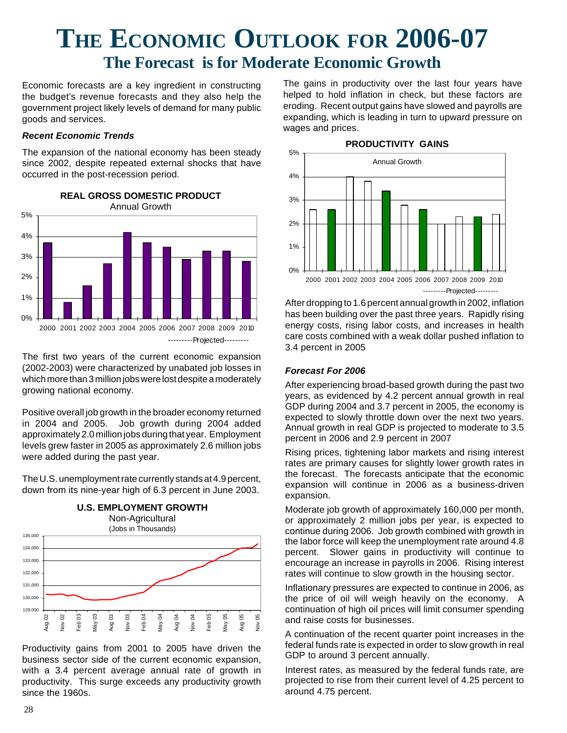## <span id="page-27-0"></span>**THE ECONOMIC OUTLOOK FOR 2006-07 The Forecast is for Moderate Economic Growth**

Economic forecasts are a key ingredient in constructing the budget's revenue forecasts and they also help the government project likely levels of demand for many public goods and services.

### *Recent Economic Trends*

The expansion of the national economy has been steady since 2002, despite repeated external shocks that have occurred in the post-recession period.



The first two years of the current economic expansion (2002-2003) were characterized by unabated job losses in which more than 3 million jobs were lost despite a moderately growing national economy.

Positive overall job growth in the broader economy returned in 2004 and 2005. Job growth during 2004 added approximately 2.0 million jobs during that year. Employment levels grew faster in 2005 as approximately 2.6 million jobs were added during the past year.

The U.S. unemployment rate currently stands at 4.9 percent, down from its nine-year high of 6.3 percent in June 2003.



Productivity gains from 2001 to 2005 have driven the business sector side of the current economic expansion, with a 3.4 percent average annual rate of growth in productivity. This surge exceeds any productivity growth  $\frac{8}{3}$   $\frac{8}{2}$   $\frac{8}{2}$   $\frac{8}{6}$ <br>Productivity gain<br>business sector s<br>with a 3.4 perce<br>productivity. This<br>since the 1960s.

The gains in productivity over the last four years have helped to hold inflation in check, but these factors are eroding. Recent output gains have slowed and payrolls are expanding, which is leading in turn to upward pressure on wages and prices.



After dropping to 1.6 percent annual growth in 2002, inflation has been building over the past three years. Rapidly rising energy costs, rising labor costs, and increases in health care costs combined with a weak dollar pushed inflation to 3.4 percent in 2005

### *Forecast For 2006*

After experiencing broad-based growth during the past two years, as evidenced by 4.2 percent annual growth in real GDP during 2004 and 3.7 percent in 2005, the economy is expected to slowly throttle down over the next two years. Annual growth in real GDP is projected to moderate to 3.5 percent in 2006 and 2.9 percent in 2007

Rising prices, tightening labor markets and rising interest rates are primary causes for slightly lower growth rates in the forecast. The forecasts anticipate that the economic expansion will continue in 2006 as a business-driven expansion.

Moderate job growth of approximately 160,000 per month, or approximately 2 million jobs per year, is expected to continue during 2006. Job growth combined with growth in the labor force will keep the unemployment rate around 4.8 percent. Slower gains in productivity will continue to encourage an increase in payrolls in 2006. Rising interest rates will continue to slow growth in the housing sector.

Inflationary pressures are expected to continue in 2006, as the price of oil will weigh heavily on the economy. A continuation of high oil prices will limit consumer spending and raise costs for businesses.

A continuation of the recent quarter point increases in the federal funds rate is expected in order to slow growth in real GDP to around 3 percent annually.

Interest rates, as measured by the federal funds rate, are projected to rise from their current level of 4.25 percent to around 4.75 percent.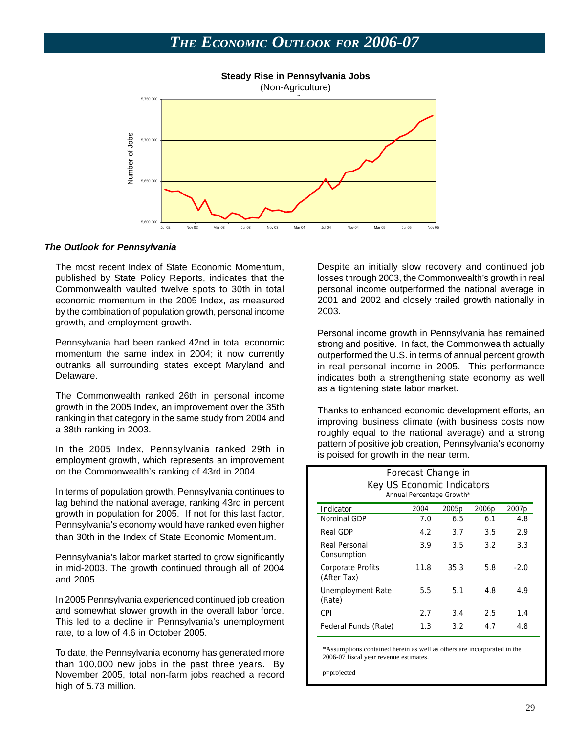

### *The Outlook for Pennsylvania*

The most recent Index of State Economic Momentum, published by State Policy Reports, indicates that the Commonwealth vaulted twelve spots to 30th in total economic momentum in the 2005 Index, as measured by the combination of population growth, personal income growth, and employment growth.

Pennsylvania had been ranked 42nd in total economic momentum the same index in 2004; it now currently outranks all surrounding states except Maryland and Delaware.

The Commonwealth ranked 26th in personal income growth in the 2005 Index, an improvement over the 35th ranking in that category in the same study from 2004 and a 38th ranking in 2003.

In the 2005 Index, Pennsylvania ranked 29th in employment growth, which represents an improvement on the Commonwealth's ranking of 43rd in 2004.

In terms of population growth, Pennsylvania continues to lag behind the national average, ranking 43rd in percent growth in population for 2005. If not for this last factor, Pennsylvania's economy would have ranked even higher than 30th in the Index of State Economic Momentum.

Pennsylvania's labor market started to grow significantly in mid-2003. The growth continued through all of 2004 and 2005.

In 2005 Pennsylvania experienced continued job creation and somewhat slower growth in the overall labor force. This led to a decline in Pennsylvania's unemployment rate, to a low of 4.6 in October 2005.

To date, the Pennsylvania economy has generated more than 100,000 new jobs in the past three years. By November 2005, total non-farm jobs reached a record high of 5.73 million.

Despite an initially slow recovery and continued job losses through 2003, the Commonwealth's growth in real personal income outperformed the national average in 2001 and 2002 and closely trailed growth nationally in 2003.

Personal income growth in Pennsylvania has remained strong and positive. In fact, the Commonwealth actually outperformed the U.S. in terms of annual percent growth in real personal income in 2005. This performance indicates both a strengthening state economy as well as a tightening state labor market.

Thanks to enhanced economic development efforts, an improving business climate (with business costs now roughly equal to the national average) and a strong pattern of positive job creation, Pennsylvania's economy is poised for growth in the near term.

| Forecast Change in<br>Key US Economic Indicators<br>Annual Percentage Growth* |      |                   |                   |                   |  |  |
|-------------------------------------------------------------------------------|------|-------------------|-------------------|-------------------|--|--|
| Indicator                                                                     | 2004 | 2005 <sub>p</sub> | 2006 <sub>p</sub> | 2007 <sub>p</sub> |  |  |
| Nominal GDP                                                                   | 7.0  | 6.5               | 6.1               | 4.8               |  |  |
| Real GDP                                                                      | 4.2  | 3.7               | 3.5               | 2.9               |  |  |
| Real Personal<br>Consumption                                                  | 3.9  | 3.5               | 3.2               | 3.3               |  |  |
| Corporate Profits<br>(After Tax)                                              | 11.8 | 35.3              | 5.8               | $-2.0$            |  |  |
| Unemployment Rate<br>(Rate)                                                   | 5.5  | 5.1               | 4.8               | 4.9               |  |  |
| CPI                                                                           | 2.7  | 3.4               | 2.5               | 1.4               |  |  |
| Federal Funds (Rate)                                                          | 1.3  | 3.2               | 4.7               | 4.8               |  |  |

\*Assumptions contained herein as well as others are incorporated in the 2006-07 fiscal year revenue estimates.

p=projected